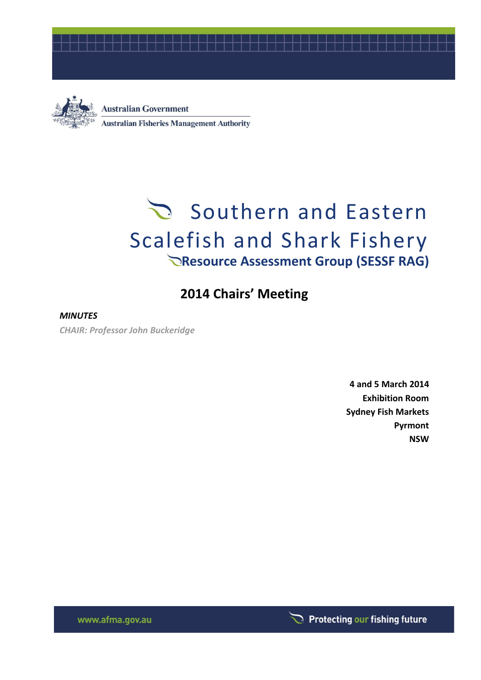



**Australian Government Australian Fisheries Management Authority** 

# Southern and Eastern Scalefish and Shark Fishery **Resource Assessment Group (SESSF RAG)**

## **2014 Chairs' Meeting**

#### *MINUTES*

*CHAIR: Professor John Buckeridge*

**4 and 5 March 2014 Exhibition Room Sydney Fish Markets Pyrmont NSW**

Protecting our fishing future

www.afma.gov.au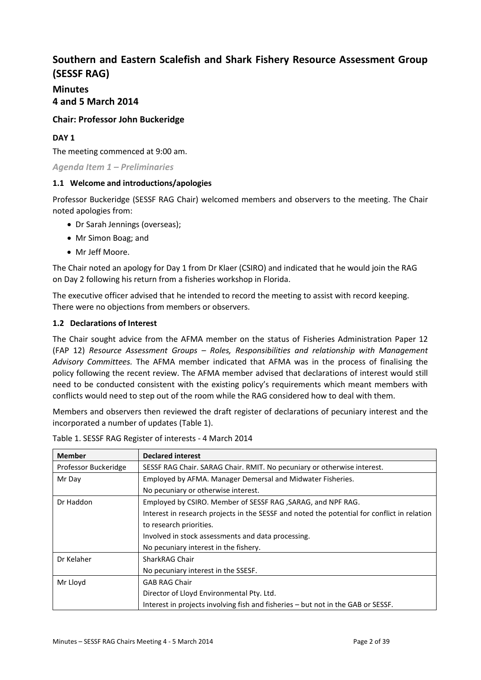### **Southern and Eastern Scalefish and Shark Fishery Resource Assessment Group (SESSF RAG)**

#### **Minutes 4 and 5 March 2014**

#### **Chair: Professor John Buckeridge**

#### **DAY 1**

The meeting commenced at 9:00 am.

*Agenda Item 1 – Preliminaries*

#### **1.1 Welcome and introductions/apologies**

Professor Buckeridge (SESSF RAG Chair) welcomed members and observers to the meeting. The Chair noted apologies from:

- Dr Sarah Jennings (overseas);
- Mr Simon Boag; and
- Mr Jeff Moore.

The Chair noted an apology for Day 1 from Dr Klaer (CSIRO) and indicated that he would join the RAG on Day 2 following his return from a fisheries workshop in Florida.

The executive officer advised that he intended to record the meeting to assist with record keeping. There were no objections from members or observers.

#### **1.2 Declarations of Interest**

The Chair sought advice from the AFMA member on the status of Fisheries Administration Paper 12 (FAP 12) *Resource Assessment Groups – Roles, Responsibilities and relationship with Management Advisory Committees.* The AFMA member indicated that AFMA was in the process of finalising the policy following the recent review. The AFMA member advised that declarations of interest would still need to be conducted consistent with the existing policy's requirements which meant members with conflicts would need to step out of the room while the RAG considered how to deal with them.

Members and observers then reviewed the draft register of declarations of pecuniary interest and the incorporated a number of updates (Table 1).

| <b>Member</b>        | <b>Declared interest</b>                                                                    |
|----------------------|---------------------------------------------------------------------------------------------|
| Professor Buckeridge | SESSF RAG Chair. SARAG Chair. RMIT. No pecuniary or otherwise interest.                     |
| Mr Day               | Employed by AFMA. Manager Demersal and Midwater Fisheries.                                  |
|                      | No pecuniary or otherwise interest.                                                         |
| Dr Haddon            | Employed by CSIRO. Member of SESSF RAG, SARAG, and NPF RAG.                                 |
|                      | Interest in research projects in the SESSF and noted the potential for conflict in relation |
|                      | to research priorities.                                                                     |
|                      | Involved in stock assessments and data processing.                                          |
|                      | No pecuniary interest in the fishery.                                                       |
| Dr Kelaher           | SharkRAG Chair                                                                              |
|                      | No pecuniary interest in the SSESF.                                                         |
| Mr Lloyd             | <b>GAB RAG Chair</b>                                                                        |
|                      | Director of Lloyd Environmental Pty. Ltd.                                                   |
|                      | Interest in projects involving fish and fisheries – but not in the GAB or SESSF.            |

Table 1. SESSF RAG Register of interests - 4 March 2014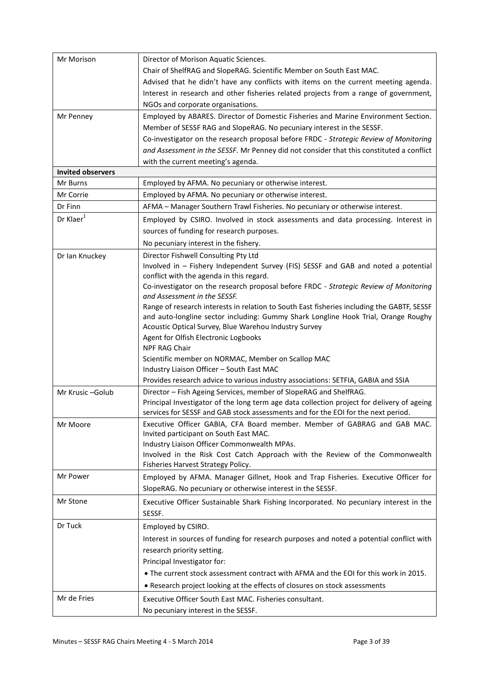| Mr Morison               | Director of Morison Aquatic Sciences.                                                      |
|--------------------------|--------------------------------------------------------------------------------------------|
|                          | Chair of ShelfRAG and SlopeRAG. Scientific Member on South East MAC.                       |
|                          | Advised that he didn't have any conflicts with items on the current meeting agenda.        |
|                          | Interest in research and other fisheries related projects from a range of government,      |
|                          | NGOs and corporate organisations.                                                          |
| Mr Penney                | Employed by ABARES. Director of Domestic Fisheries and Marine Environment Section.         |
|                          | Member of SESSF RAG and SlopeRAG. No pecuniary interest in the SESSF.                      |
|                          | Co-investigator on the research proposal before FRDC - Strategic Review of Monitoring      |
|                          | and Assessment in the SESSF. Mr Penney did not consider that this constituted a conflict   |
|                          | with the current meeting's agenda.                                                         |
| <b>Invited observers</b> |                                                                                            |
| Mr Burns                 | Employed by AFMA. No pecuniary or otherwise interest.                                      |
| Mr Corrie                | Employed by AFMA. No pecuniary or otherwise interest.                                      |
| Dr Finn                  | AFMA - Manager Southern Trawl Fisheries. No pecuniary or otherwise interest.               |
| Dr Klaer <sup>1</sup>    | Employed by CSIRO. Involved in stock assessments and data processing. Interest in          |
|                          | sources of funding for research purposes.                                                  |
|                          | No pecuniary interest in the fishery.                                                      |
| Dr Ian Knuckey           | Director Fishwell Consulting Pty Ltd                                                       |
|                          | Involved in - Fishery Independent Survey (FIS) SESSF and GAB and noted a potential         |
|                          | conflict with the agenda in this regard.                                                   |
|                          | Co-investigator on the research proposal before FRDC - Strategic Review of Monitoring      |
|                          | and Assessment in the SESSF.                                                               |
|                          | Range of research interests in relation to South East fisheries including the GABTF, SESSF |
|                          | and auto-longline sector including: Gummy Shark Longline Hook Trial, Orange Roughy         |
|                          | Acoustic Optical Survey, Blue Warehou Industry Survey                                      |
|                          | Agent for Olfish Electronic Logbooks<br>NPF RAG Chair                                      |
|                          | Scientific member on NORMAC, Member on Scallop MAC                                         |
|                          | Industry Liaison Officer - South East MAC                                                  |
|                          | Provides research advice to various industry associations: SETFIA, GABIA and SSIA          |
| Mr Krusic-Golub          | Director - Fish Ageing Services, member of SlopeRAG and ShelfRAG.                          |
|                          | Principal Investigator of the long term age data collection project for delivery of ageing |
|                          | services for SESSF and GAB stock assessments and for the EOI for the next period.          |
| Mr Moore                 | Executive Officer GABIA, CFA Board member. Member of GABRAG and GAB MAC.                   |
|                          | Invited participant on South East MAC.                                                     |
|                          | Industry Liaison Officer Commonwealth MPAs.                                                |
|                          | Involved in the Risk Cost Catch Approach with the Review of the Commonwealth               |
|                          | Fisheries Harvest Strategy Policy.                                                         |
| Mr Power                 | Employed by AFMA. Manager Gillnet, Hook and Trap Fisheries. Executive Officer for          |
|                          | SlopeRAG. No pecuniary or otherwise interest in the SESSF.                                 |
| Mr Stone                 | Executive Officer Sustainable Shark Fishing Incorporated. No pecuniary interest in the     |
|                          | SESSF.                                                                                     |
| Dr Tuck                  | Employed by CSIRO.                                                                         |
|                          | Interest in sources of funding for research purposes and noted a potential conflict with   |
|                          | research priority setting.                                                                 |
|                          | Principal Investigator for:                                                                |
|                          |                                                                                            |
|                          | • The current stock assessment contract with AFMA and the EOI for this work in 2015.       |
|                          | • Research project looking at the effects of closures on stock assessments                 |
| Mr de Fries              | Executive Officer South East MAC. Fisheries consultant.                                    |
|                          | No pecuniary interest in the SESSF.                                                        |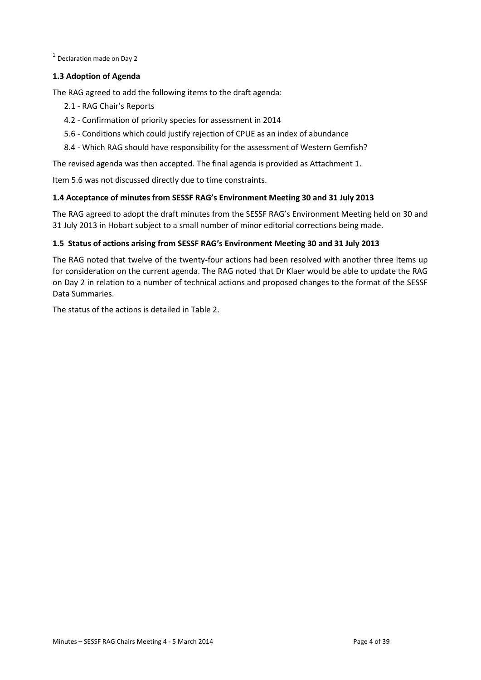$<sup>1</sup>$  Declaration made on Day 2</sup>

#### **1.3 Adoption of Agenda**

The RAG agreed to add the following items to the draft agenda:

- 2.1 RAG Chair's Reports
- 4.2 Confirmation of priority species for assessment in 2014
- 5.6 Conditions which could justify rejection of CPUE as an index of abundance
- 8.4 Which RAG should have responsibility for the assessment of Western Gemfish?

The revised agenda was then accepted. The final agenda is provided as Attachment 1.

Item 5.6 was not discussed directly due to time constraints.

#### **1.4 Acceptance of minutes from SESSF RAG's Environment Meeting 30 and 31 July 2013**

The RAG agreed to adopt the draft minutes from the SESSF RAG's Environment Meeting held on 30 and 31 July 2013 in Hobart subject to a small number of minor editorial corrections being made.

#### **1.5 Status of actions arising from SESSF RAG's Environment Meeting 30 and 31 July 2013**

The RAG noted that twelve of the twenty-four actions had been resolved with another three items up for consideration on the current agenda. The RAG noted that Dr Klaer would be able to update the RAG on Day 2 in relation to a number of technical actions and proposed changes to the format of the SESSF Data Summaries.

The status of the actions is detailed in Table 2.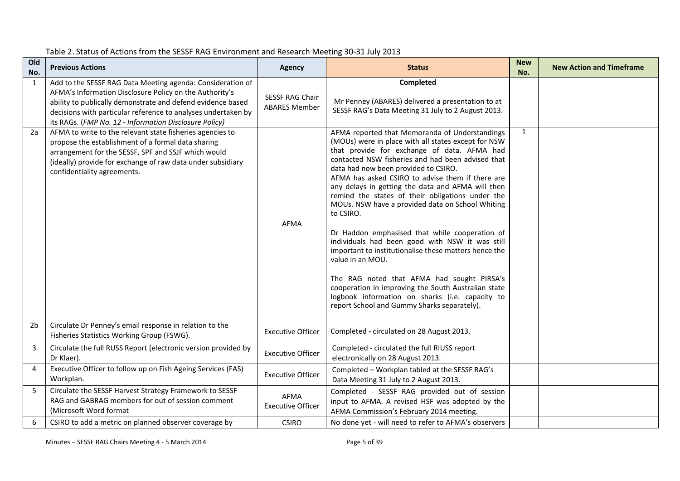| Old<br>No.     | <b>Previous Actions</b>                                                                                                                                                                                                                                                                                         | <b>Agency</b>                           | <b>Status</b>                                                                                                                                                                                                                                                                                                                                                                                                                                                                                                                                                                                                                                                                                                                                                                                                                                                            | <b>New</b><br>No. | <b>New Action and Timeframe</b> |
|----------------|-----------------------------------------------------------------------------------------------------------------------------------------------------------------------------------------------------------------------------------------------------------------------------------------------------------------|-----------------------------------------|--------------------------------------------------------------------------------------------------------------------------------------------------------------------------------------------------------------------------------------------------------------------------------------------------------------------------------------------------------------------------------------------------------------------------------------------------------------------------------------------------------------------------------------------------------------------------------------------------------------------------------------------------------------------------------------------------------------------------------------------------------------------------------------------------------------------------------------------------------------------------|-------------------|---------------------------------|
| 1              | Add to the SESSF RAG Data Meeting agenda: Consideration of<br>AFMA's Information Disclosure Policy on the Authority's<br>ability to publically demonstrate and defend evidence based<br>decisions with particular reference to analyses undertaken by<br>its RAGs. (FMP No. 12 - Information Disclosure Policy) | SESSF RAG Chair<br><b>ABARES Member</b> | Completed<br>Mr Penney (ABARES) delivered a presentation to at<br>SESSF RAG's Data Meeting 31 July to 2 August 2013.                                                                                                                                                                                                                                                                                                                                                                                                                                                                                                                                                                                                                                                                                                                                                     |                   |                                 |
| 2a             | AFMA to write to the relevant state fisheries agencies to<br>propose the establishment of a formal data sharing<br>arrangement for the SESSF, SPF and SSJF which would<br>(ideally) provide for exchange of raw data under subsidiary<br>confidentiality agreements.                                            | <b>AFMA</b>                             | AFMA reported that Memoranda of Understandings<br>(MOUs) were in place with all states except for NSW<br>that provide for exchange of data. AFMA had<br>contacted NSW fisheries and had been advised that<br>data had now been provided to CSIRO.<br>AFMA has asked CSIRO to advise them if there are<br>any delays in getting the data and AFMA will then<br>remind the states of their obligations under the<br>MOUs. NSW have a provided data on School Whiting<br>to CSIRO.<br>Dr Haddon emphasised that while cooperation of<br>individuals had been good with NSW it was still<br>important to institutionalise these matters hence the<br>value in an MOU.<br>The RAG noted that AFMA had sought PIRSA's<br>cooperation in improving the South Australian state<br>logbook information on sharks (i.e. capacity to<br>report School and Gummy Sharks separately). | $\mathbf{1}$      |                                 |
| 2 <sub>b</sub> | Circulate Dr Penney's email response in relation to the<br>Fisheries Statistics Working Group (FSWG).                                                                                                                                                                                                           | <b>Executive Officer</b>                | Completed - circulated on 28 August 2013.                                                                                                                                                                                                                                                                                                                                                                                                                                                                                                                                                                                                                                                                                                                                                                                                                                |                   |                                 |
| 3              | Circulate the full RUSS Report (electronic version provided by<br>Dr Klaer).                                                                                                                                                                                                                                    | <b>Executive Officer</b>                | Completed - circulated the full RIUSS report<br>electronically on 28 August 2013.                                                                                                                                                                                                                                                                                                                                                                                                                                                                                                                                                                                                                                                                                                                                                                                        |                   |                                 |
| $\overline{4}$ | Executive Officer to follow up on Fish Ageing Services (FAS)<br>Workplan.                                                                                                                                                                                                                                       | <b>Executive Officer</b>                | Completed - Workplan tabled at the SESSF RAG's<br>Data Meeting 31 July to 2 August 2013.                                                                                                                                                                                                                                                                                                                                                                                                                                                                                                                                                                                                                                                                                                                                                                                 |                   |                                 |
| 5              | Circulate the SESSF Harvest Strategy Framework to SESSF<br>RAG and GABRAG members for out of session comment<br>(Microsoft Word format                                                                                                                                                                          | AFMA<br><b>Executive Officer</b>        | Completed - SESSF RAG provided out of session<br>input to AFMA. A revised HSF was adopted by the<br>AFMA Commission's February 2014 meeting.                                                                                                                                                                                                                                                                                                                                                                                                                                                                                                                                                                                                                                                                                                                             |                   |                                 |
| 6              | CSIRO to add a metric on planned observer coverage by                                                                                                                                                                                                                                                           | <b>CSIRO</b>                            | No done yet - will need to refer to AFMA's observers                                                                                                                                                                                                                                                                                                                                                                                                                                                                                                                                                                                                                                                                                                                                                                                                                     |                   |                                 |

#### Table 2. Status of Actions from the SESSF RAG Environment and Research Meeting 30-31 July 2013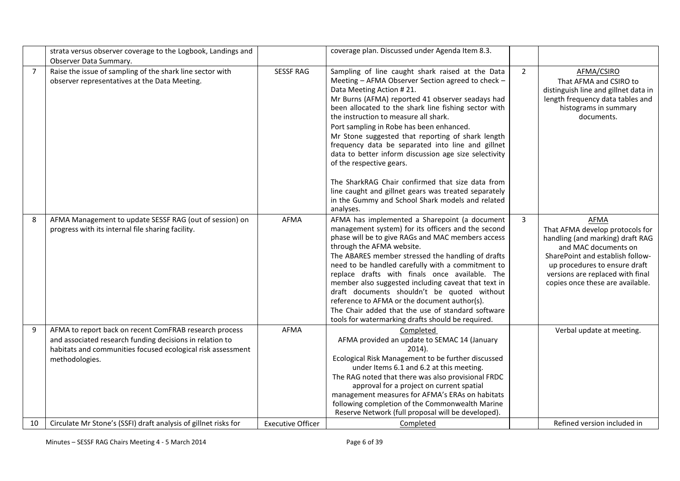|                | strata versus observer coverage to the Logbook, Landings and<br>Observer Data Summary.                                                    |                          | coverage plan. Discussed under Agenda Item 8.3.                                                                                                                                                                                                                                                                                                                                                                                                                                                                                                                                                                                                                                                                |                |                                                                                                                                                                                                                                                         |
|----------------|-------------------------------------------------------------------------------------------------------------------------------------------|--------------------------|----------------------------------------------------------------------------------------------------------------------------------------------------------------------------------------------------------------------------------------------------------------------------------------------------------------------------------------------------------------------------------------------------------------------------------------------------------------------------------------------------------------------------------------------------------------------------------------------------------------------------------------------------------------------------------------------------------------|----------------|---------------------------------------------------------------------------------------------------------------------------------------------------------------------------------------------------------------------------------------------------------|
| $\overline{7}$ | Raise the issue of sampling of the shark line sector with<br>observer representatives at the Data Meeting.                                | <b>SESSF RAG</b>         | Sampling of line caught shark raised at the Data<br>Meeting - AFMA Observer Section agreed to check -<br>Data Meeting Action #21.<br>Mr Burns (AFMA) reported 41 observer seadays had<br>been allocated to the shark line fishing sector with<br>the instruction to measure all shark.<br>Port sampling in Robe has been enhanced.<br>Mr Stone suggested that reporting of shark length<br>frequency data be separated into line and gillnet<br>data to better inform discussion age size selectivity<br>of the respective gears.<br>The SharkRAG Chair confirmed that size data from<br>line caught and gillnet gears was treated separately<br>in the Gummy and School Shark models and related<br>analyses. | $\overline{2}$ | AFMA/CSIRO<br>That AFMA and CSIRO to<br>distinguish line and gillnet data in<br>length frequency data tables and<br>histograms in summary<br>documents.                                                                                                 |
| 8              | AFMA Management to update SESSF RAG (out of session) on<br>progress with its internal file sharing facility.                              | <b>AFMA</b>              | AFMA has implemented a Sharepoint (a document<br>management system) for its officers and the second<br>phase will be to give RAGs and MAC members access<br>through the AFMA website.<br>The ABARES member stressed the handling of drafts<br>need to be handled carefully with a commitment to<br>replace drafts with finals once available. The<br>member also suggested including caveat that text in<br>draft documents shouldn't be quoted without<br>reference to AFMA or the document author(s).<br>The Chair added that the use of standard software<br>tools for watermarking drafts should be required.                                                                                              | 3              | <b>AFMA</b><br>That AFMA develop protocols for<br>handling (and marking) draft RAG<br>and MAC documents on<br>SharePoint and establish follow-<br>up procedures to ensure draft<br>versions are replaced with final<br>copies once these are available. |
| 9              | AFMA to report back on recent ComFRAB research process                                                                                    | <b>AFMA</b>              | Completed                                                                                                                                                                                                                                                                                                                                                                                                                                                                                                                                                                                                                                                                                                      |                | Verbal update at meeting.                                                                                                                                                                                                                               |
|                | and associated research funding decisions in relation to<br>habitats and communities focused ecological risk assessment<br>methodologies. |                          | AFMA provided an update to SEMAC 14 (January<br>$2014$ ).<br>Ecological Risk Management to be further discussed<br>under Items 6.1 and 6.2 at this meeting.<br>The RAG noted that there was also provisional FRDC<br>approval for a project on current spatial<br>management measures for AFMA's ERAs on habitats<br>following completion of the Commonwealth Marine<br>Reserve Network (full proposal will be developed).                                                                                                                                                                                                                                                                                     |                |                                                                                                                                                                                                                                                         |
| 10             | Circulate Mr Stone's (SSFI) draft analysis of gillnet risks for                                                                           | <b>Executive Officer</b> | Completed                                                                                                                                                                                                                                                                                                                                                                                                                                                                                                                                                                                                                                                                                                      |                | Refined version included in                                                                                                                                                                                                                             |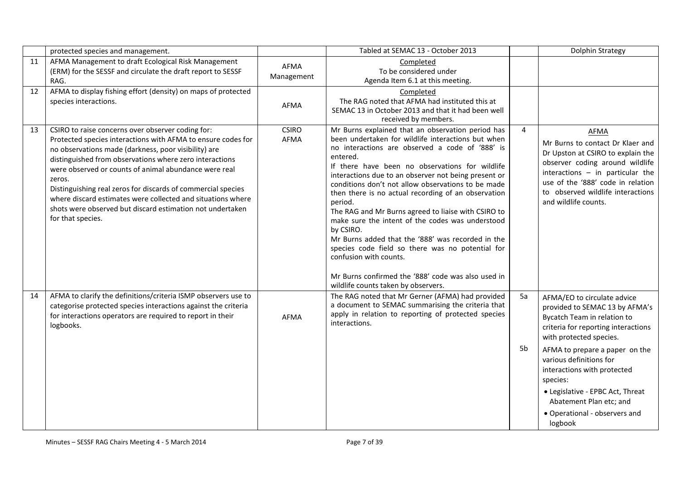|    | protected species and management.                                                                                                                                                                                                                                                                                                                                                                                                                                                                                        |                             | Tabled at SEMAC 13 - October 2013                                                                                                                                                                                                                                                                                                                                                                                                                                                                                                                                                                                                                                                                                                                                 |                | Dolphin Strategy                                                                                                                                                                                                                                                                                                                                                                  |
|----|--------------------------------------------------------------------------------------------------------------------------------------------------------------------------------------------------------------------------------------------------------------------------------------------------------------------------------------------------------------------------------------------------------------------------------------------------------------------------------------------------------------------------|-----------------------------|-------------------------------------------------------------------------------------------------------------------------------------------------------------------------------------------------------------------------------------------------------------------------------------------------------------------------------------------------------------------------------------------------------------------------------------------------------------------------------------------------------------------------------------------------------------------------------------------------------------------------------------------------------------------------------------------------------------------------------------------------------------------|----------------|-----------------------------------------------------------------------------------------------------------------------------------------------------------------------------------------------------------------------------------------------------------------------------------------------------------------------------------------------------------------------------------|
| 11 | AFMA Management to draft Ecological Risk Management<br>(ERM) for the SESSF and circulate the draft report to SESSF<br>RAG.                                                                                                                                                                                                                                                                                                                                                                                               | <b>AFMA</b><br>Management   | Completed<br>To be considered under<br>Agenda Item 6.1 at this meeting.                                                                                                                                                                                                                                                                                                                                                                                                                                                                                                                                                                                                                                                                                           |                |                                                                                                                                                                                                                                                                                                                                                                                   |
| 12 | AFMA to display fishing effort (density) on maps of protected<br>species interactions.                                                                                                                                                                                                                                                                                                                                                                                                                                   | <b>AFMA</b>                 | Completed<br>The RAG noted that AFMA had instituted this at<br>SEMAC 13 in October 2013 and that it had been well<br>received by members.                                                                                                                                                                                                                                                                                                                                                                                                                                                                                                                                                                                                                         |                |                                                                                                                                                                                                                                                                                                                                                                                   |
| 13 | CSIRO to raise concerns over observer coding for:<br>Protected species interactions with AFMA to ensure codes for<br>no observations made (darkness, poor visibility) are<br>distinguished from observations where zero interactions<br>were observed or counts of animal abundance were real<br>zeros.<br>Distinguishing real zeros for discards of commercial species<br>where discard estimates were collected and situations where<br>shots were observed but discard estimation not undertaken<br>for that species. | <b>CSIRO</b><br><b>AFMA</b> | Mr Burns explained that an observation period has<br>been undertaken for wildlife interactions but when<br>no interactions are observed a code of '888' is<br>entered.<br>If there have been no observations for wildlife<br>interactions due to an observer not being present or<br>conditions don't not allow observations to be made<br>then there is no actual recording of an observation<br>period.<br>The RAG and Mr Burns agreed to liaise with CSIRO to<br>make sure the intent of the codes was understood<br>by CSIRO.<br>Mr Burns added that the '888' was recorded in the<br>species code field so there was no potential for<br>confusion with counts.<br>Mr Burns confirmed the '888' code was also used in<br>wildlife counts taken by observers. | $\overline{4}$ | <b>AFMA</b><br>Mr Burns to contact Dr Klaer and<br>Dr Upston at CSIRO to explain the<br>observer coding around wildlife<br>interactions $-$ in particular the<br>use of the '888' code in relation<br>to observed wildlife interactions<br>and wildlife counts.                                                                                                                   |
| 14 | AFMA to clarify the definitions/criteria ISMP observers use to<br>categorise protected species interactions against the criteria<br>for interactions operators are required to report in their<br>logbooks.                                                                                                                                                                                                                                                                                                              | AFMA                        | The RAG noted that Mr Gerner (AFMA) had provided<br>a document to SEMAC summarising the criteria that<br>apply in relation to reporting of protected species<br>interactions.                                                                                                                                                                                                                                                                                                                                                                                                                                                                                                                                                                                     | 5a<br>5b       | AFMA/EO to circulate advice<br>provided to SEMAC 13 by AFMA's<br>Bycatch Team in relation to<br>criteria for reporting interactions<br>with protected species.<br>AFMA to prepare a paper on the<br>various definitions for<br>interactions with protected<br>species:<br>• Legislative - EPBC Act, Threat<br>Abatement Plan etc; and<br>• Operational - observers and<br>logbook |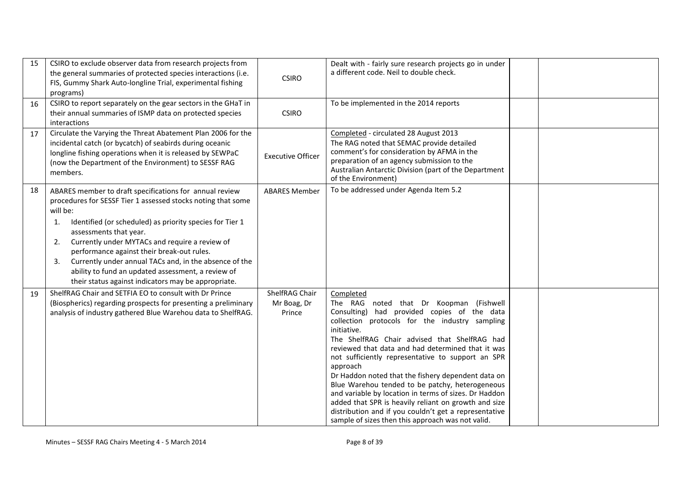| 15 | CSIRO to exclude observer data from research projects from<br>the general summaries of protected species interactions (i.e.<br>FIS, Gummy Shark Auto-longline Trial, experimental fishing<br>programs)                                                                                                                                                                                                                                                                                                             | <b>CSIRO</b>                            | Dealt with - fairly sure research projects go in under<br>a different code. Neil to double check.                                                                                                                                                                                                                                                                                                                                                                                                                                                                                                                                                                                  |  |
|----|--------------------------------------------------------------------------------------------------------------------------------------------------------------------------------------------------------------------------------------------------------------------------------------------------------------------------------------------------------------------------------------------------------------------------------------------------------------------------------------------------------------------|-----------------------------------------|------------------------------------------------------------------------------------------------------------------------------------------------------------------------------------------------------------------------------------------------------------------------------------------------------------------------------------------------------------------------------------------------------------------------------------------------------------------------------------------------------------------------------------------------------------------------------------------------------------------------------------------------------------------------------------|--|
| 16 | CSIRO to report separately on the gear sectors in the GHaT in<br>their annual summaries of ISMP data on protected species<br>interactions                                                                                                                                                                                                                                                                                                                                                                          | <b>CSIRO</b>                            | To be implemented in the 2014 reports                                                                                                                                                                                                                                                                                                                                                                                                                                                                                                                                                                                                                                              |  |
| 17 | Circulate the Varying the Threat Abatement Plan 2006 for the<br>incidental catch (or bycatch) of seabirds during oceanic<br>longline fishing operations when it is released by SEWPaC<br>(now the Department of the Environment) to SESSF RAG<br>members.                                                                                                                                                                                                                                                          | <b>Executive Officer</b>                | Completed - circulated 28 August 2013<br>The RAG noted that SEMAC provide detailed<br>comment's for consideration by AFMA in the<br>preparation of an agency submission to the<br>Australian Antarctic Division (part of the Department<br>of the Environment)                                                                                                                                                                                                                                                                                                                                                                                                                     |  |
| 18 | ABARES member to draft specifications for annual review<br>procedures for SESSF Tier 1 assessed stocks noting that some<br>will be:<br>Identified (or scheduled) as priority species for Tier 1<br>1.<br>assessments that year.<br>Currently under MYTACs and require a review of<br>2.<br>performance against their break-out rules.<br>Currently under annual TACs and, in the absence of the<br>3.<br>ability to fund an updated assessment, a review of<br>their status against indicators may be appropriate. | <b>ABARES Member</b>                    | To be addressed under Agenda Item 5.2                                                                                                                                                                                                                                                                                                                                                                                                                                                                                                                                                                                                                                              |  |
| 19 | ShelfRAG Chair and SETFIA EO to consult with Dr Prince<br>(Biospherics) regarding prospects for presenting a preliminary<br>analysis of industry gathered Blue Warehou data to ShelfRAG.                                                                                                                                                                                                                                                                                                                           | ShelfRAG Chair<br>Mr Boag, Dr<br>Prince | Completed<br>The RAG noted that Dr Koopman (Fishwell<br>Consulting) had provided copies of the data<br>collection protocols for the industry sampling<br>initiative.<br>The ShelfRAG Chair advised that ShelfRAG had<br>reviewed that data and had determined that it was<br>not sufficiently representative to support an SPR<br>approach<br>Dr Haddon noted that the fishery dependent data on<br>Blue Warehou tended to be patchy, heterogeneous<br>and variable by location in terms of sizes. Dr Haddon<br>added that SPR is heavily reliant on growth and size<br>distribution and if you couldn't get a representative<br>sample of sizes then this approach was not valid. |  |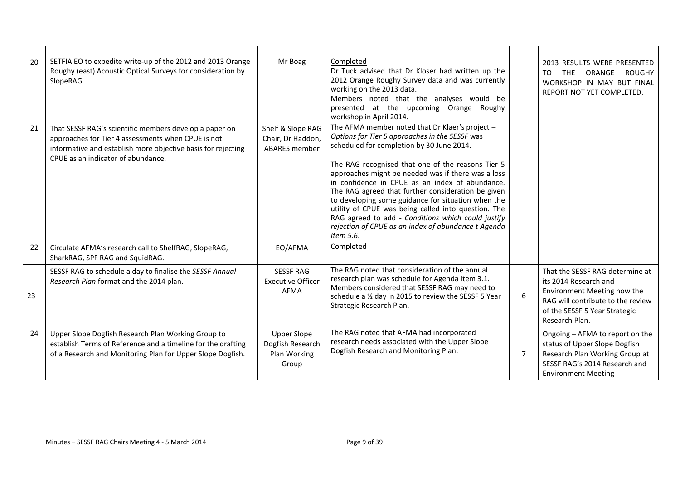| 20 | SETFIA EO to expedite write-up of the 2012 and 2013 Orange<br>Roughy (east) Acoustic Optical Surveys for consideration by<br>SlopeRAG.                                                                             | Mr Boag                                                         | Completed<br>Dr Tuck advised that Dr Kloser had written up the<br>2012 Orange Roughy Survey data and was currently<br>working on the 2013 data.<br>Members noted that the analyses would be<br>presented at the upcoming Orange Roughy<br>workshop in April 2014.                                                                                                                                                                                                                                                                                                                                         |                | 2013 RESULTS WERE PRESENTED<br><b>THE</b><br>ORANGE ROUGHY<br>TO<br>WORKSHOP IN MAY BUT FINAL<br>REPORT NOT YET COMPLETED.                                                      |
|----|--------------------------------------------------------------------------------------------------------------------------------------------------------------------------------------------------------------------|-----------------------------------------------------------------|-----------------------------------------------------------------------------------------------------------------------------------------------------------------------------------------------------------------------------------------------------------------------------------------------------------------------------------------------------------------------------------------------------------------------------------------------------------------------------------------------------------------------------------------------------------------------------------------------------------|----------------|---------------------------------------------------------------------------------------------------------------------------------------------------------------------------------|
| 21 | That SESSF RAG's scientific members develop a paper on<br>approaches for Tier 4 assessments when CPUE is not<br>informative and establish more objective basis for rejecting<br>CPUE as an indicator of abundance. | Shelf & Slope RAG<br>Chair, Dr Haddon,<br><b>ABARES</b> member  | The AFMA member noted that Dr Klaer's project -<br>Options for Tier 5 approaches in the SESSF was<br>scheduled for completion by 30 June 2014.<br>The RAG recognised that one of the reasons Tier 5<br>approaches might be needed was if there was a loss<br>in confidence in CPUE as an index of abundance.<br>The RAG agreed that further consideration be given<br>to developing some guidance for situation when the<br>utility of CPUE was being called into question. The<br>RAG agreed to add - Conditions which could justify<br>rejection of CPUE as an index of abundance t Agenda<br>Item 5.6. |                |                                                                                                                                                                                 |
| 22 | Circulate AFMA's research call to ShelfRAG, SlopeRAG,<br>SharkRAG, SPF RAG and SquidRAG.                                                                                                                           | EO/AFMA                                                         | Completed                                                                                                                                                                                                                                                                                                                                                                                                                                                                                                                                                                                                 |                |                                                                                                                                                                                 |
| 23 | SESSF RAG to schedule a day to finalise the SESSF Annual<br>Research Plan format and the 2014 plan.                                                                                                                | <b>SESSF RAG</b><br><b>Executive Officer</b><br>AFMA            | The RAG noted that consideration of the annual<br>research plan was schedule for Agenda Item 3.1.<br>Members considered that SESSF RAG may need to<br>schedule a 1/2 day in 2015 to review the SESSF 5 Year<br>Strategic Research Plan.                                                                                                                                                                                                                                                                                                                                                                   | 6              | That the SESSF RAG determine at<br>its 2014 Research and<br>Environment Meeting how the<br>RAG will contribute to the review<br>of the SESSF 5 Year Strategic<br>Research Plan. |
| 24 | Upper Slope Dogfish Research Plan Working Group to<br>establish Terms of Reference and a timeline for the drafting<br>of a Research and Monitoring Plan for Upper Slope Dogfish.                                   | <b>Upper Slope</b><br>Dogfish Research<br>Plan Working<br>Group | The RAG noted that AFMA had incorporated<br>research needs associated with the Upper Slope<br>Dogfish Research and Monitoring Plan.                                                                                                                                                                                                                                                                                                                                                                                                                                                                       | $\overline{7}$ | Ongoing - AFMA to report on the<br>status of Upper Slope Dogfish<br>Research Plan Working Group at<br>SESSF RAG's 2014 Research and<br><b>Environment Meeting</b>               |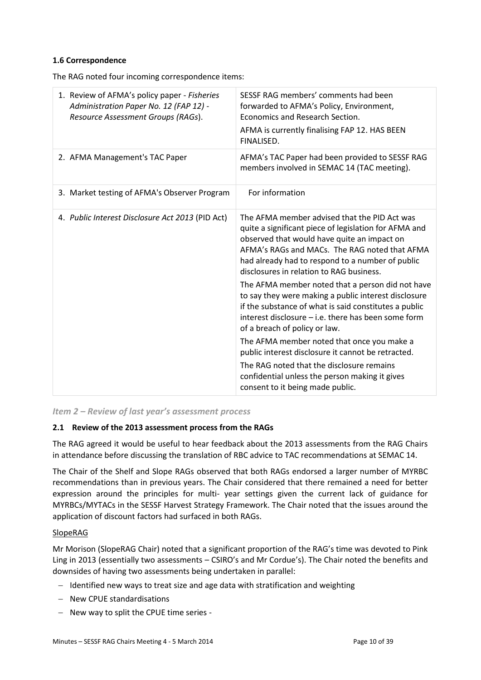#### **1.6 Correspondence**

The RAG noted four incoming correspondence items:

| 1. Review of AFMA's policy paper - Fisheries<br>Administration Paper No. 12 (FAP 12) -<br>Resource Assessment Groups (RAGs). | SESSF RAG members' comments had been<br>forwarded to AFMA's Policy, Environment,<br>Economics and Research Section.<br>AFMA is currently finalising FAP 12. HAS BEEN<br>FINALISED.                                                                                                                                                                                                                                                                                                                                                                                                                                                                                                                                                                                                                        |
|------------------------------------------------------------------------------------------------------------------------------|-----------------------------------------------------------------------------------------------------------------------------------------------------------------------------------------------------------------------------------------------------------------------------------------------------------------------------------------------------------------------------------------------------------------------------------------------------------------------------------------------------------------------------------------------------------------------------------------------------------------------------------------------------------------------------------------------------------------------------------------------------------------------------------------------------------|
| 2. AFMA Management's TAC Paper                                                                                               | AFMA's TAC Paper had been provided to SESSF RAG<br>members involved in SEMAC 14 (TAC meeting).                                                                                                                                                                                                                                                                                                                                                                                                                                                                                                                                                                                                                                                                                                            |
| 3. Market testing of AFMA's Observer Program                                                                                 | For information                                                                                                                                                                                                                                                                                                                                                                                                                                                                                                                                                                                                                                                                                                                                                                                           |
| 4. Public Interest Disclosure Act 2013 (PID Act)                                                                             | The AFMA member advised that the PID Act was<br>quite a significant piece of legislation for AFMA and<br>observed that would have quite an impact on<br>AFMA's RAGs and MACs. The RAG noted that AFMA<br>had already had to respond to a number of public<br>disclosures in relation to RAG business.<br>The AFMA member noted that a person did not have<br>to say they were making a public interest disclosure<br>if the substance of what is said constitutes a public<br>interest disclosure - i.e. there has been some form<br>of a breach of policy or law.<br>The AFMA member noted that once you make a<br>public interest disclosure it cannot be retracted.<br>The RAG noted that the disclosure remains<br>confidential unless the person making it gives<br>consent to it being made public. |

*Item 2 – Review of last year's assessment process*

#### **2.1 Review of the 2013 assessment process from the RAGs**

The RAG agreed it would be useful to hear feedback about the 2013 assessments from the RAG Chairs in attendance before discussing the translation of RBC advice to TAC recommendations at SEMAC 14.

The Chair of the Shelf and Slope RAGs observed that both RAGs endorsed a larger number of MYRBC recommendations than in previous years. The Chair considered that there remained a need for better expression around the principles for multi- year settings given the current lack of guidance for MYRBCs/MYTACs in the SESSF Harvest Strategy Framework. The Chair noted that the issues around the application of discount factors had surfaced in both RAGs.

#### SlopeRAG

Mr Morison (SlopeRAG Chair) noted that a significant proportion of the RAG's time was devoted to Pink Ling in 2013 (essentially two assessments – CSIRO's and Mr Cordue's). The Chair noted the benefits and downsides of having two assessments being undertaken in parallel:

- $-I$  Identified new ways to treat size and age data with stratification and weighting
- New CPUE standardisations
- New way to split the CPUE time series -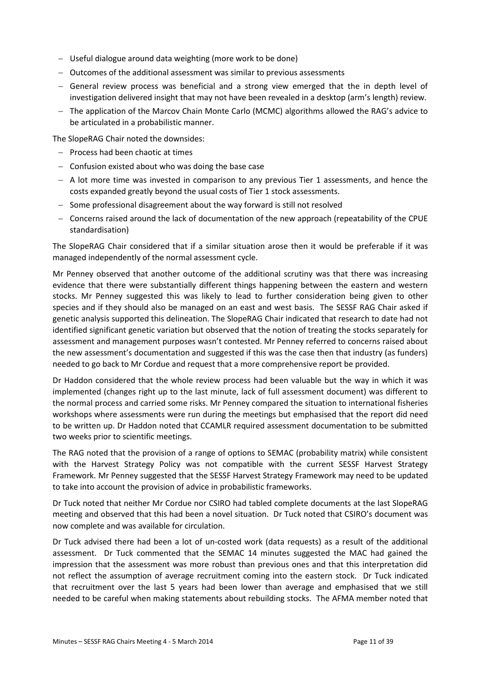- Useful dialogue around data weighting (more work to be done)
- Outcomes of the additional assessment was similar to previous assessments
- General review process was beneficial and a strong view emerged that the in depth level of investigation delivered insight that may not have been revealed in a desktop (arm's length) review.
- The application of the Marcov Chain Monte Carlo (MCMC) algorithms allowed the RAG's advice to be articulated in a probabilistic manner.

The SlopeRAG Chair noted the downsides:

- $-$  Process had been chaotic at times
- $-$  Confusion existed about who was doing the base case
- $-$  A lot more time was invested in comparison to any previous Tier 1 assessments, and hence the costs expanded greatly beyond the usual costs of Tier 1 stock assessments.
- Some professional disagreement about the way forward is still not resolved
- Concerns raised around the lack of documentation of the new approach (repeatability of the CPUE standardisation)

The SlopeRAG Chair considered that if a similar situation arose then it would be preferable if it was managed independently of the normal assessment cycle.

Mr Penney observed that another outcome of the additional scrutiny was that there was increasing evidence that there were substantially different things happening between the eastern and western stocks. Mr Penney suggested this was likely to lead to further consideration being given to other species and if they should also be managed on an east and west basis. The SESSF RAG Chair asked if genetic analysis supported this delineation. The SlopeRAG Chair indicated that research to date had not identified significant genetic variation but observed that the notion of treating the stocks separately for assessment and management purposes wasn't contested. Mr Penney referred to concerns raised about the new assessment's documentation and suggested if this was the case then that industry (as funders) needed to go back to Mr Cordue and request that a more comprehensive report be provided.

Dr Haddon considered that the whole review process had been valuable but the way in which it was implemented (changes right up to the last minute, lack of full assessment document) was different to the normal process and carried some risks. Mr Penney compared the situation to international fisheries workshops where assessments were run during the meetings but emphasised that the report did need to be written up. Dr Haddon noted that CCAMLR required assessment documentation to be submitted two weeks prior to scientific meetings.

The RAG noted that the provision of a range of options to SEMAC (probability matrix) while consistent with the Harvest Strategy Policy was not compatible with the current SESSF Harvest Strategy Framework. Mr Penney suggested that the SESSF Harvest Strategy Framework may need to be updated to take into account the provision of advice in probabilistic frameworks.

Dr Tuck noted that neither Mr Cordue nor CSIRO had tabled complete documents at the last SlopeRAG meeting and observed that this had been a novel situation. Dr Tuck noted that CSIRO's document was now complete and was available for circulation.

Dr Tuck advised there had been a lot of un-costed work (data requests) as a result of the additional assessment. Dr Tuck commented that the SEMAC 14 minutes suggested the MAC had gained the impression that the assessment was more robust than previous ones and that this interpretation did not reflect the assumption of average recruitment coming into the eastern stock. Dr Tuck indicated that recruitment over the last 5 years had been lower than average and emphasised that we still needed to be careful when making statements about rebuilding stocks. The AFMA member noted that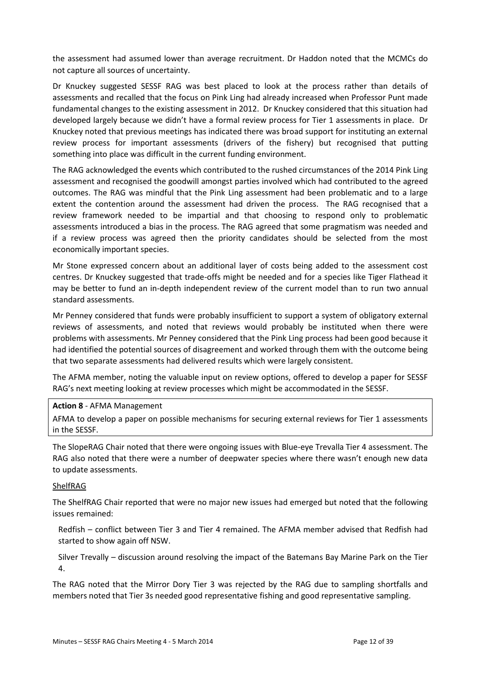the assessment had assumed lower than average recruitment. Dr Haddon noted that the MCMCs do not capture all sources of uncertainty.

Dr Knuckey suggested SESSF RAG was best placed to look at the process rather than details of assessments and recalled that the focus on Pink Ling had already increased when Professor Punt made fundamental changes to the existing assessment in 2012. Dr Knuckey considered that this situation had developed largely because we didn't have a formal review process for Tier 1 assessments in place. Dr Knuckey noted that previous meetings has indicated there was broad support for instituting an external review process for important assessments (drivers of the fishery) but recognised that putting something into place was difficult in the current funding environment.

The RAG acknowledged the events which contributed to the rushed circumstances of the 2014 Pink Ling assessment and recognised the goodwill amongst parties involved which had contributed to the agreed outcomes. The RAG was mindful that the Pink Ling assessment had been problematic and to a large extent the contention around the assessment had driven the process. The RAG recognised that a review framework needed to be impartial and that choosing to respond only to problematic assessments introduced a bias in the process. The RAG agreed that some pragmatism was needed and if a review process was agreed then the priority candidates should be selected from the most economically important species.

Mr Stone expressed concern about an additional layer of costs being added to the assessment cost centres. Dr Knuckey suggested that trade-offs might be needed and for a species like Tiger Flathead it may be better to fund an in-depth independent review of the current model than to run two annual standard assessments.

Mr Penney considered that funds were probably insufficient to support a system of obligatory external reviews of assessments, and noted that reviews would probably be instituted when there were problems with assessments. Mr Penney considered that the Pink Ling process had been good because it had identified the potential sources of disagreement and worked through them with the outcome being that two separate assessments had delivered results which were largely consistent.

The AFMA member, noting the valuable input on review options, offered to develop a paper for SESSF RAG's next meeting looking at review processes which might be accommodated in the SESSF.

#### **Action 8** - AFMA Management

AFMA to develop a paper on possible mechanisms for securing external reviews for Tier 1 assessments in the SESSF.

The SlopeRAG Chair noted that there were ongoing issues with Blue-eye Trevalla Tier 4 assessment. The RAG also noted that there were a number of deepwater species where there wasn't enough new data to update assessments.

#### ShelfRAG

The ShelfRAG Chair reported that were no major new issues had emerged but noted that the following issues remained:

Redfish – conflict between Tier 3 and Tier 4 remained. The AFMA member advised that Redfish had started to show again off NSW.

Silver Trevally – discussion around resolving the impact of the Batemans Bay Marine Park on the Tier 4.

The RAG noted that the Mirror Dory Tier 3 was rejected by the RAG due to sampling shortfalls and members noted that Tier 3s needed good representative fishing and good representative sampling.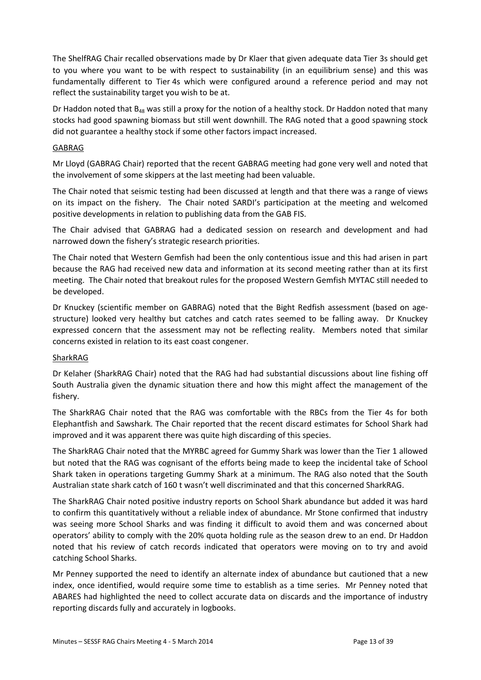The ShelfRAG Chair recalled observations made by Dr Klaer that given adequate data Tier 3s should get to you where you want to be with respect to sustainability (in an equilibrium sense) and this was fundamentally different to Tier 4s which were configured around a reference period and may not reflect the sustainability target you wish to be at.

Dr Haddon noted that  $B_{48}$  was still a proxy for the notion of a healthy stock. Dr Haddon noted that many stocks had good spawning biomass but still went downhill. The RAG noted that a good spawning stock did not guarantee a healthy stock if some other factors impact increased.

#### GABRAG

Mr Lloyd (GABRAG Chair) reported that the recent GABRAG meeting had gone very well and noted that the involvement of some skippers at the last meeting had been valuable.

The Chair noted that seismic testing had been discussed at length and that there was a range of views on its impact on the fishery. The Chair noted SARDI's participation at the meeting and welcomed positive developments in relation to publishing data from the GAB FIS.

The Chair advised that GABRAG had a dedicated session on research and development and had narrowed down the fishery's strategic research priorities.

The Chair noted that Western Gemfish had been the only contentious issue and this had arisen in part because the RAG had received new data and information at its second meeting rather than at its first meeting. The Chair noted that breakout rules for the proposed Western Gemfish MYTAC still needed to be developed.

Dr Knuckey (scientific member on GABRAG) noted that the Bight Redfish assessment (based on agestructure) looked very healthy but catches and catch rates seemed to be falling away. Dr Knuckey expressed concern that the assessment may not be reflecting reality. Members noted that similar concerns existed in relation to its east coast congener.

#### SharkRAG

Dr Kelaher (SharkRAG Chair) noted that the RAG had had substantial discussions about line fishing off South Australia given the dynamic situation there and how this might affect the management of the fishery.

The SharkRAG Chair noted that the RAG was comfortable with the RBCs from the Tier 4s for both Elephantfish and Sawshark. The Chair reported that the recent discard estimates for School Shark had improved and it was apparent there was quite high discarding of this species.

The SharkRAG Chair noted that the MYRBC agreed for Gummy Shark was lower than the Tier 1 allowed but noted that the RAG was cognisant of the efforts being made to keep the incidental take of School Shark taken in operations targeting Gummy Shark at a minimum. The RAG also noted that the South Australian state shark catch of 160 t wasn't well discriminated and that this concerned SharkRAG.

The SharkRAG Chair noted positive industry reports on School Shark abundance but added it was hard to confirm this quantitatively without a reliable index of abundance. Mr Stone confirmed that industry was seeing more School Sharks and was finding it difficult to avoid them and was concerned about operators' ability to comply with the 20% quota holding rule as the season drew to an end. Dr Haddon noted that his review of catch records indicated that operators were moving on to try and avoid catching School Sharks.

Mr Penney supported the need to identify an alternate index of abundance but cautioned that a new index, once identified, would require some time to establish as a time series. Mr Penney noted that ABARES had highlighted the need to collect accurate data on discards and the importance of industry reporting discards fully and accurately in logbooks.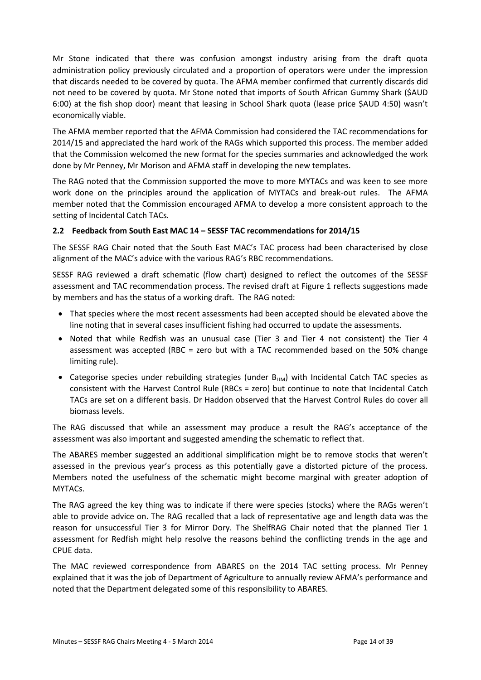Mr Stone indicated that there was confusion amongst industry arising from the draft quota administration policy previously circulated and a proportion of operators were under the impression that discards needed to be covered by quota. The AFMA member confirmed that currently discards did not need to be covered by quota. Mr Stone noted that imports of South African Gummy Shark (\$AUD 6:00) at the fish shop door) meant that leasing in School Shark quota (lease price \$AUD 4:50) wasn't economically viable.

The AFMA member reported that the AFMA Commission had considered the TAC recommendations for 2014/15 and appreciated the hard work of the RAGs which supported this process. The member added that the Commission welcomed the new format for the species summaries and acknowledged the work done by Mr Penney, Mr Morison and AFMA staff in developing the new templates.

The RAG noted that the Commission supported the move to more MYTACs and was keen to see more work done on the principles around the application of MYTACs and break-out rules. The AFMA member noted that the Commission encouraged AFMA to develop a more consistent approach to the setting of Incidental Catch TACs.

#### **2.2 Feedback from South East MAC 14 – SESSF TAC recommendations for 2014/15**

The SESSF RAG Chair noted that the South East MAC's TAC process had been characterised by close alignment of the MAC's advice with the various RAG's RBC recommendations.

SESSF RAG reviewed a draft schematic (flow chart) designed to reflect the outcomes of the SESSF assessment and TAC recommendation process. The revised draft at Figure 1 reflects suggestions made by members and has the status of a working draft. The RAG noted:

- That species where the most recent assessments had been accepted should be elevated above the line noting that in several cases insufficient fishing had occurred to update the assessments.
- Noted that while Redfish was an unusual case (Tier 3 and Tier 4 not consistent) the Tier 4 assessment was accepted (RBC = zero but with a TAC recommended based on the 50% change limiting rule).
- Categorise species under rebuilding strategies (under B<sub>LIM</sub>) with Incidental Catch TAC species as consistent with the Harvest Control Rule (RBCs = zero) but continue to note that Incidental Catch TACs are set on a different basis. Dr Haddon observed that the Harvest Control Rules do cover all biomass levels.

The RAG discussed that while an assessment may produce a result the RAG's acceptance of the assessment was also important and suggested amending the schematic to reflect that.

The ABARES member suggested an additional simplification might be to remove stocks that weren't assessed in the previous year's process as this potentially gave a distorted picture of the process. Members noted the usefulness of the schematic might become marginal with greater adoption of MYTACs.

The RAG agreed the key thing was to indicate if there were species (stocks) where the RAGs weren't able to provide advice on. The RAG recalled that a lack of representative age and length data was the reason for unsuccessful Tier 3 for Mirror Dory. The ShelfRAG Chair noted that the planned Tier 1 assessment for Redfish might help resolve the reasons behind the conflicting trends in the age and CPUE data.

The MAC reviewed correspondence from ABARES on the 2014 TAC setting process. Mr Penney explained that it was the job of Department of Agriculture to annually review AFMA's performance and noted that the Department delegated some of this responsibility to ABARES.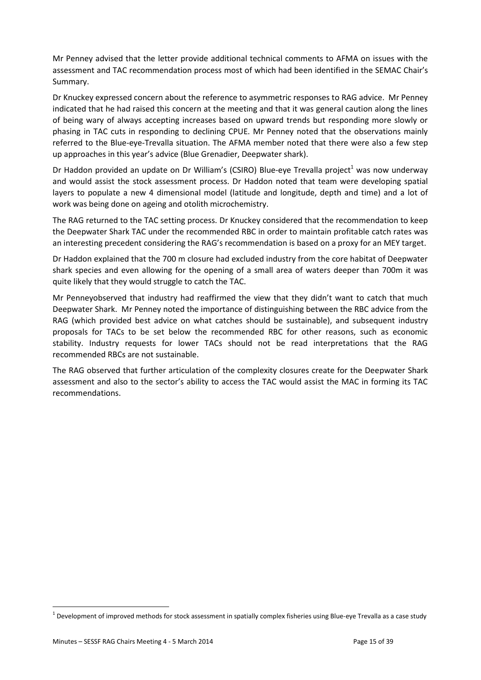Mr Penney advised that the letter provide additional technical comments to AFMA on issues with the assessment and TAC recommendation process most of which had been identified in the SEMAC Chair's Summary.

Dr Knuckey expressed concern about the reference to asymmetric responses to RAG advice. Mr Penney indicated that he had raised this concern at the meeting and that it was general caution along the lines of being wary of always accepting increases based on upward trends but responding more slowly or phasing in TAC cuts in responding to declining CPUE. Mr Penney noted that the observations mainly referred to the Blue-eye-Trevalla situation. The AFMA member noted that there were also a few step up approaches in this year's advice (Blue Grenadier, Deepwater shark).

Dr Haddon provided an update on Dr William's (CSIRO) Blue-eye Trevalla project<sup>1</sup> was now underway and would assist the stock assessment process. Dr Haddon noted that team were developing spatial layers to populate a new 4 dimensional model (latitude and longitude, depth and time) and a lot of work was being done on ageing and otolith microchemistry.

The RAG returned to the TAC setting process. Dr Knuckey considered that the recommendation to keep the Deepwater Shark TAC under the recommended RBC in order to maintain profitable catch rates was an interesting precedent considering the RAG's recommendation is based on a proxy for an MEY target.

Dr Haddon explained that the 700 m closure had excluded industry from the core habitat of Deepwater shark species and even allowing for the opening of a small area of waters deeper than 700m it was quite likely that they would struggle to catch the TAC.

Mr Penneyobserved that industry had reaffirmed the view that they didn't want to catch that much Deepwater Shark. Mr Penney noted the importance of distinguishing between the RBC advice from the RAG (which provided best advice on what catches should be sustainable), and subsequent industry proposals for TACs to be set below the recommended RBC for other reasons, such as economic stability. Industry requests for lower TACs should not be read interpretations that the RAG recommended RBCs are not sustainable.

The RAG observed that further articulation of the complexity closures create for the Deepwater Shark assessment and also to the sector's ability to access the TAC would assist the MAC in forming its TAC recommendations.

 $\overline{a}$ 

 $^1$  Development of improved methods for stock assessment in spatially complex fisheries using Blue-eye Trevalla as a case study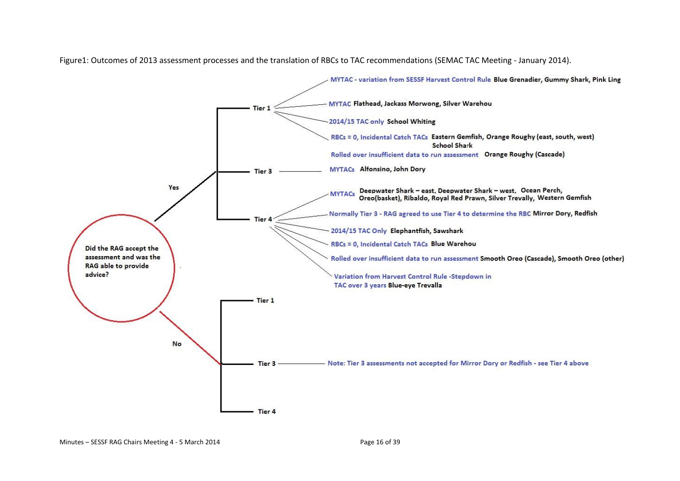MYTAC - variation from SESSF Harvest Control Rule Blue Grenadier, Gummy Shark, Pink Ling MYTAC Flathead, Jackass Morwong, Silver Warehou Tier 1 2014/15 TAC only School Whiting RBCs = 0, Incidental Catch TACs Eastern Gemfish, Orange Roughy (east, south, west) **School Shark** Rolled over insufficient data to run assessment Orange Roughy (Cascade) MYTACs Alfonsino, John Dory Tier 3 Yes Deepwater Shark - east, Deepwater Shark - west, Ocean Perch, **MYTACs** Oreo(basket), Ribaldo, Royal Red Prawn, Silver Trevally, Western Gemfish Normally Tier 3 - RAG agreed to use Tier 4 to determine the RBC Mirror Dory, Redfish **Tier** 2014/15 TAC Only Elephantfish, Sawshark RBCs = 0, Incidental Catch TACs Blue Warehou Did the RAG accept the assessment and was the Rolled over insufficient data to run assessment Smooth Oreo (Cascade), Smooth Oreo (other) RAG able to provide advice? Variation from Harvest Control Rule -Stepdown in TAC over 3 years Blue-eye Trevalla Tier 1 No Note: Tier 3 assessments not accepted for Mirror Dory or Redfish - see Tier 4 above Tier 3 Tier 4

Figure1: Outcomes of 2013 assessment processes and the translation of RBCs to TAC recommendations (SEMAC TAC Meeting - January 2014).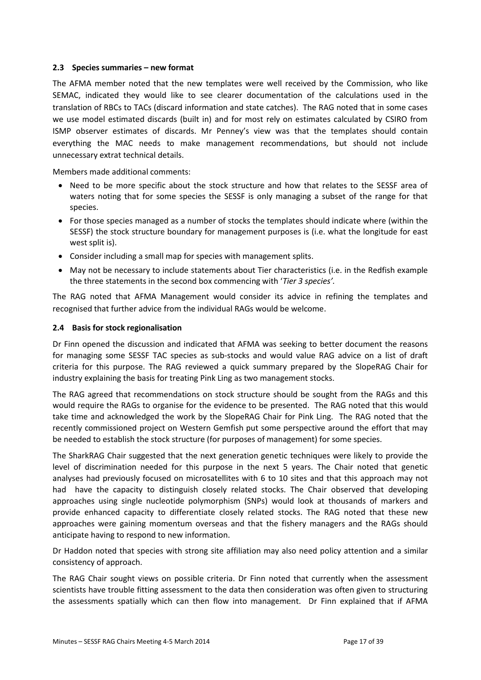#### **2.3 Species summaries – new format**

The AFMA member noted that the new templates were well received by the Commission, who like SEMAC, indicated they would like to see clearer documentation of the calculations used in the translation of RBCs to TACs (discard information and state catches). The RAG noted that in some cases we use model estimated discards (built in) and for most rely on estimates calculated by CSIRO from ISMP observer estimates of discards. Mr Penney's view was that the templates should contain everything the MAC needs to make management recommendations, but should not include unnecessary extrat technical details.

Members made additional comments:

- Need to be more specific about the stock structure and how that relates to the SESSF area of waters noting that for some species the SESSF is only managing a subset of the range for that species.
- For those species managed as a number of stocks the templates should indicate where (within the SESSF) the stock structure boundary for management purposes is (i.e. what the longitude for east west split is).
- Consider including a small map for species with management splits.
- May not be necessary to include statements about Tier characteristics (i.e. in the Redfish example the three statements in the second box commencing with '*Tier 3 species'.*

The RAG noted that AFMA Management would consider its advice in refining the templates and recognised that further advice from the individual RAGs would be welcome.

#### **2.4 Basis for stock regionalisation**

Dr Finn opened the discussion and indicated that AFMA was seeking to better document the reasons for managing some SESSF TAC species as sub-stocks and would value RAG advice on a list of draft criteria for this purpose. The RAG reviewed a quick summary prepared by the SlopeRAG Chair for industry explaining the basis for treating Pink Ling as two management stocks.

The RAG agreed that recommendations on stock structure should be sought from the RAGs and this would require the RAGs to organise for the evidence to be presented. The RAG noted that this would take time and acknowledged the work by the SlopeRAG Chair for Pink Ling. The RAG noted that the recently commissioned project on Western Gemfish put some perspective around the effort that may be needed to establish the stock structure (for purposes of management) for some species.

The SharkRAG Chair suggested that the next generation genetic techniques were likely to provide the level of discrimination needed for this purpose in the next 5 years. The Chair noted that genetic analyses had previously focused on microsatellites with 6 to 10 sites and that this approach may not had have the capacity to distinguish closely related stocks. The Chair observed that developing approaches using single nucleotide polymorphism (SNPs) would look at thousands of markers and provide enhanced capacity to differentiate closely related stocks. The RAG noted that these new approaches were gaining momentum overseas and that the fishery managers and the RAGs should anticipate having to respond to new information.

Dr Haddon noted that species with strong site affiliation may also need policy attention and a similar consistency of approach.

The RAG Chair sought views on possible criteria. Dr Finn noted that currently when the assessment scientists have trouble fitting assessment to the data then consideration was often given to structuring the assessments spatially which can then flow into management. Dr Finn explained that if AFMA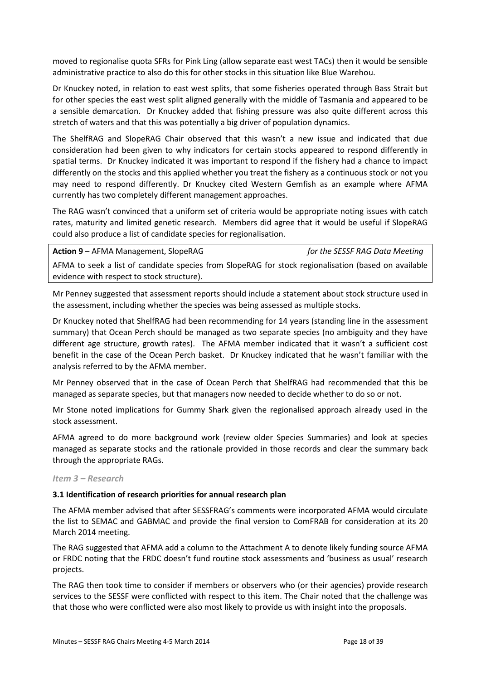moved to regionalise quota SFRs for Pink Ling (allow separate east west TACs) then it would be sensible administrative practice to also do this for other stocks in this situation like Blue Warehou.

Dr Knuckey noted, in relation to east west splits, that some fisheries operated through Bass Strait but for other species the east west split aligned generally with the middle of Tasmania and appeared to be a sensible demarcation. Dr Knuckey added that fishing pressure was also quite different across this stretch of waters and that this was potentially a big driver of population dynamics.

The ShelfRAG and SlopeRAG Chair observed that this wasn't a new issue and indicated that due consideration had been given to why indicators for certain stocks appeared to respond differently in spatial terms. Dr Knuckey indicated it was important to respond if the fishery had a chance to impact differently on the stocks and this applied whether you treat the fishery as a continuous stock or not you may need to respond differently. Dr Knuckey cited Western Gemfish as an example where AFMA currently has two completely different management approaches.

The RAG wasn't convinced that a uniform set of criteria would be appropriate noting issues with catch rates, maturity and limited genetic research. Members did agree that it would be useful if SlopeRAG could also produce a list of candidate species for regionalisation.

**Action 9** – AFMA Management, SlopeRAG *for the SESSF RAG Data Meeting* AFMA to seek a list of candidate species from SlopeRAG for stock regionalisation (based on available evidence with respect to stock structure).

Mr Penney suggested that assessment reports should include a statement about stock structure used in the assessment, including whether the species was being assessed as multiple stocks.

Dr Knuckey noted that ShelfRAG had been recommending for 14 years (standing line in the assessment summary) that Ocean Perch should be managed as two separate species (no ambiguity and they have different age structure, growth rates). The AFMA member indicated that it wasn't a sufficient cost benefit in the case of the Ocean Perch basket. Dr Knuckey indicated that he wasn't familiar with the analysis referred to by the AFMA member.

Mr Penney observed that in the case of Ocean Perch that ShelfRAG had recommended that this be managed as separate species, but that managers now needed to decide whether to do so or not.

Mr Stone noted implications for Gummy Shark given the regionalised approach already used in the stock assessment.

AFMA agreed to do more background work (review older Species Summaries) and look at species managed as separate stocks and the rationale provided in those records and clear the summary back through the appropriate RAGs.

#### *Item 3 – Research*

#### **3.1 Identification of research priorities for annual research plan**

The AFMA member advised that after SESSFRAG's comments were incorporated AFMA would circulate the list to SEMAC and GABMAC and provide the final version to ComFRAB for consideration at its 20 March 2014 meeting.

The RAG suggested that AFMA add a column to the Attachment A to denote likely funding source AFMA or FRDC noting that the FRDC doesn't fund routine stock assessments and 'business as usual' research projects.

The RAG then took time to consider if members or observers who (or their agencies) provide research services to the SESSF were conflicted with respect to this item. The Chair noted that the challenge was that those who were conflicted were also most likely to provide us with insight into the proposals.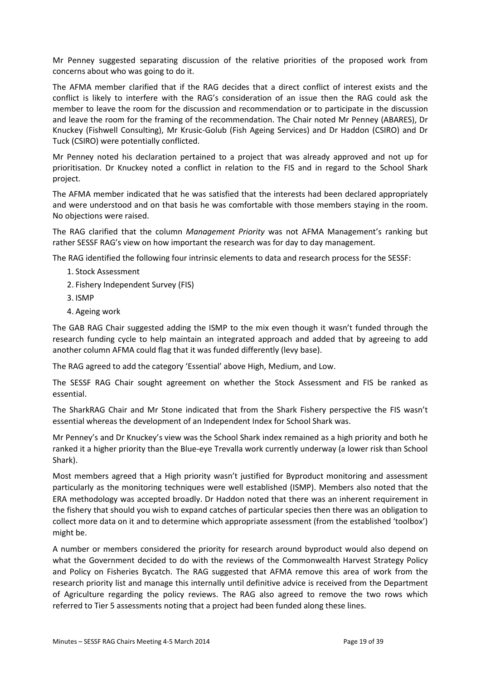Mr Penney suggested separating discussion of the relative priorities of the proposed work from concerns about who was going to do it.

The AFMA member clarified that if the RAG decides that a direct conflict of interest exists and the conflict is likely to interfere with the RAG's consideration of an issue then the RAG could ask the member to leave the room for the discussion and recommendation or to participate in the discussion and leave the room for the framing of the recommendation. The Chair noted Mr Penney (ABARES), Dr Knuckey (Fishwell Consulting), Mr Krusic-Golub (Fish Ageing Services) and Dr Haddon (CSIRO) and Dr Tuck (CSIRO) were potentially conflicted.

Mr Penney noted his declaration pertained to a project that was already approved and not up for prioritisation. Dr Knuckey noted a conflict in relation to the FIS and in regard to the School Shark project.

The AFMA member indicated that he was satisfied that the interests had been declared appropriately and were understood and on that basis he was comfortable with those members staying in the room. No objections were raised.

The RAG clarified that the column *Management Priority* was not AFMA Management's ranking but rather SESSF RAG's view on how important the research was for day to day management.

The RAG identified the following four intrinsic elements to data and research process for the SESSF:

- 1. Stock Assessment
- 2. Fishery Independent Survey (FIS)
- 3. ISMP
- 4. Ageing work

The GAB RAG Chair suggested adding the ISMP to the mix even though it wasn't funded through the research funding cycle to help maintain an integrated approach and added that by agreeing to add another column AFMA could flag that it was funded differently (levy base).

The RAG agreed to add the category 'Essential' above High, Medium, and Low.

The SESSF RAG Chair sought agreement on whether the Stock Assessment and FIS be ranked as essential.

The SharkRAG Chair and Mr Stone indicated that from the Shark Fishery perspective the FIS wasn't essential whereas the development of an Independent Index for School Shark was.

Mr Penney's and Dr Knuckey's view was the School Shark index remained as a high priority and both he ranked it a higher priority than the Blue-eye Trevalla work currently underway (a lower risk than School Shark).

Most members agreed that a High priority wasn't justified for Byproduct monitoring and assessment particularly as the monitoring techniques were well established (ISMP). Members also noted that the ERA methodology was accepted broadly. Dr Haddon noted that there was an inherent requirement in the fishery that should you wish to expand catches of particular species then there was an obligation to collect more data on it and to determine which appropriate assessment (from the established 'toolbox') might be.

A number or members considered the priority for research around byproduct would also depend on what the Government decided to do with the reviews of the Commonwealth Harvest Strategy Policy and Policy on Fisheries Bycatch. The RAG suggested that AFMA remove this area of work from the research priority list and manage this internally until definitive advice is received from the Department of Agriculture regarding the policy reviews. The RAG also agreed to remove the two rows which referred to Tier 5 assessments noting that a project had been funded along these lines.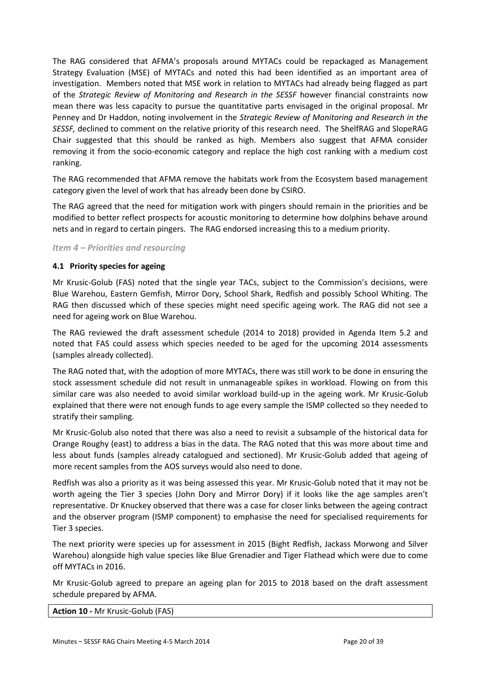The RAG considered that AFMA's proposals around MYTACs could be repackaged as Management Strategy Evaluation (MSE) of MYTACs and noted this had been identified as an important area of investigation. Members noted that MSE work in relation to MYTACs had already being flagged as part of the *Strategic Review of Monitoring and Research in the SESSF* however financial constraints now mean there was less capacity to pursue the quantitative parts envisaged in the original proposal. Mr Penney and Dr Haddon, noting involvement in the *Strategic Review of Monitoring and Research in the SESSF,* declined to comment on the relative priority of this research need. The ShelfRAG and SlopeRAG Chair suggested that this should be ranked as high. Members also suggest that AFMA consider removing it from the socio-economic category and replace the high cost ranking with a medium cost ranking.

The RAG recommended that AFMA remove the habitats work from the Ecosystem based management category given the level of work that has already been done by CSIRO.

The RAG agreed that the need for mitigation work with pingers should remain in the priorities and be modified to better reflect prospects for acoustic monitoring to determine how dolphins behave around nets and in regard to certain pingers. The RAG endorsed increasing this to a medium priority.

#### *Item 4 – Priorities and resourcing*

#### **4.1 Priority species for ageing**

Mr Krusic-Golub (FAS) noted that the single year TACs, subject to the Commission's decisions, were Blue Warehou, Eastern Gemfish, Mirror Dory, School Shark, Redfish and possibly School Whiting. The RAG then discussed which of these species might need specific ageing work. The RAG did not see a need for ageing work on Blue Warehou.

The RAG reviewed the draft assessment schedule (2014 to 2018) provided in Agenda Item 5.2 and noted that FAS could assess which species needed to be aged for the upcoming 2014 assessments (samples already collected).

The RAG noted that, with the adoption of more MYTACs, there was still work to be done in ensuring the stock assessment schedule did not result in unmanageable spikes in workload. Flowing on from this similar care was also needed to avoid similar workload build-up in the ageing work. Mr Krusic-Golub explained that there were not enough funds to age every sample the ISMP collected so they needed to stratify their sampling.

Mr Krusic-Golub also noted that there was also a need to revisit a subsample of the historical data for Orange Roughy (east) to address a bias in the data. The RAG noted that this was more about time and less about funds (samples already catalogued and sectioned). Mr Krusic-Golub added that ageing of more recent samples from the AOS surveys would also need to done.

Redfish was also a priority as it was being assessed this year. Mr Krusic-Golub noted that it may not be worth ageing the Tier 3 species (John Dory and Mirror Dory) if it looks like the age samples aren't representative. Dr Knuckey observed that there was a case for closer links between the ageing contract and the observer program (ISMP component) to emphasise the need for specialised requirements for Tier 3 species.

The next priority were species up for assessment in 2015 (Bight Redfish, Jackass Morwong and Silver Warehou) alongside high value species like Blue Grenadier and Tiger Flathead which were due to come off MYTACs in 2016.

Mr Krusic-Golub agreed to prepare an ageing plan for 2015 to 2018 based on the draft assessment schedule prepared by AFMA.

**Action 10** *-* Mr Krusic-Golub (FAS)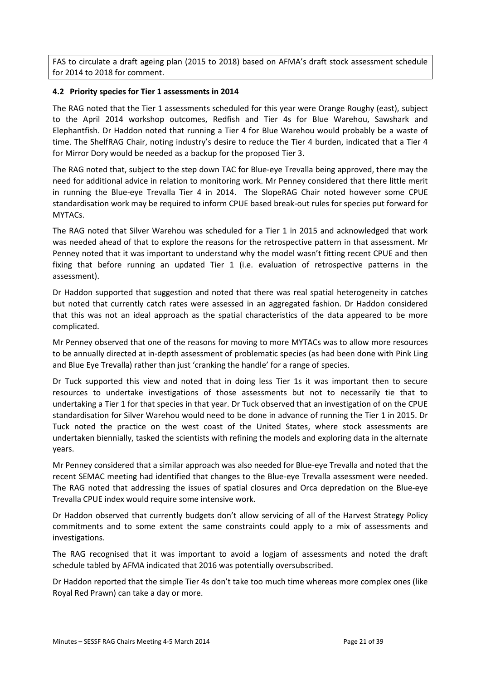FAS to circulate a draft ageing plan (2015 to 2018) based on AFMA's draft stock assessment schedule for 2014 to 2018 for comment.

#### **4.2 Priority species for Tier 1 assessments in 2014**

The RAG noted that the Tier 1 assessments scheduled for this year were Orange Roughy (east), subject to the April 2014 workshop outcomes, Redfish and Tier 4s for Blue Warehou, Sawshark and Elephantfish. Dr Haddon noted that running a Tier 4 for Blue Warehou would probably be a waste of time. The ShelfRAG Chair, noting industry's desire to reduce the Tier 4 burden, indicated that a Tier 4 for Mirror Dory would be needed as a backup for the proposed Tier 3.

The RAG noted that, subject to the step down TAC for Blue-eye Trevalla being approved, there may the need for additional advice in relation to monitoring work. Mr Penney considered that there little merit in running the Blue-eye Trevalla Tier 4 in 2014. The SlopeRAG Chair noted however some CPUE standardisation work may be required to inform CPUE based break-out rules for species put forward for MYTACs.

The RAG noted that Silver Warehou was scheduled for a Tier 1 in 2015 and acknowledged that work was needed ahead of that to explore the reasons for the retrospective pattern in that assessment. Mr Penney noted that it was important to understand why the model wasn't fitting recent CPUE and then fixing that before running an updated Tier 1 (i.e. evaluation of retrospective patterns in the assessment).

Dr Haddon supported that suggestion and noted that there was real spatial heterogeneity in catches but noted that currently catch rates were assessed in an aggregated fashion. Dr Haddon considered that this was not an ideal approach as the spatial characteristics of the data appeared to be more complicated.

Mr Penney observed that one of the reasons for moving to more MYTACs was to allow more resources to be annually directed at in-depth assessment of problematic species (as had been done with Pink Ling and Blue Eye Trevalla) rather than just 'cranking the handle' for a range of species.

Dr Tuck supported this view and noted that in doing less Tier 1s it was important then to secure resources to undertake investigations of those assessments but not to necessarily tie that to undertaking a Tier 1 for that species in that year. Dr Tuck observed that an investigation of on the CPUE standardisation for Silver Warehou would need to be done in advance of running the Tier 1 in 2015. Dr Tuck noted the practice on the west coast of the United States, where stock assessments are undertaken biennially, tasked the scientists with refining the models and exploring data in the alternate years.

Mr Penney considered that a similar approach was also needed for Blue-eye Trevalla and noted that the recent SEMAC meeting had identified that changes to the Blue-eye Trevalla assessment were needed. The RAG noted that addressing the issues of spatial closures and Orca depredation on the Blue-eye Trevalla CPUE index would require some intensive work.

Dr Haddon observed that currently budgets don't allow servicing of all of the Harvest Strategy Policy commitments and to some extent the same constraints could apply to a mix of assessments and investigations.

The RAG recognised that it was important to avoid a logjam of assessments and noted the draft schedule tabled by AFMA indicated that 2016 was potentially oversubscribed.

Dr Haddon reported that the simple Tier 4s don't take too much time whereas more complex ones (like Royal Red Prawn) can take a day or more.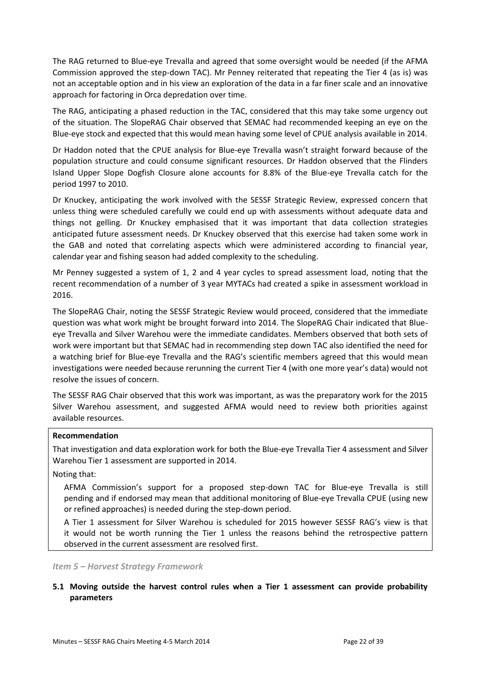The RAG returned to Blue-eye Trevalla and agreed that some oversight would be needed (if the AFMA Commission approved the step-down TAC). Mr Penney reiterated that repeating the Tier 4 (as is) was not an acceptable option and in his view an exploration of the data in a far finer scale and an innovative approach for factoring in Orca depredation over time.

The RAG, anticipating a phased reduction in the TAC, considered that this may take some urgency out of the situation. The SlopeRAG Chair observed that SEMAC had recommended keeping an eye on the Blue-eye stock and expected that this would mean having some level of CPUE analysis available in 2014.

Dr Haddon noted that the CPUE analysis for Blue-eye Trevalla wasn't straight forward because of the population structure and could consume significant resources. Dr Haddon observed that the Flinders Island Upper Slope Dogfish Closure alone accounts for 8.8% of the Blue-eye Trevalla catch for the period 1997 to 2010.

Dr Knuckey, anticipating the work involved with the SESSF Strategic Review, expressed concern that unless thing were scheduled carefully we could end up with assessments without adequate data and things not gelling. Dr Knuckey emphasised that it was important that data collection strategies anticipated future assessment needs. Dr Knuckey observed that this exercise had taken some work in the GAB and noted that correlating aspects which were administered according to financial year, calendar year and fishing season had added complexity to the scheduling.

Mr Penney suggested a system of 1, 2 and 4 year cycles to spread assessment load, noting that the recent recommendation of a number of 3 year MYTACs had created a spike in assessment workload in 2016.

The SlopeRAG Chair, noting the SESSF Strategic Review would proceed, considered that the immediate question was what work might be brought forward into 2014. The SlopeRAG Chair indicated that Blueeye Trevalla and Silver Warehou were the immediate candidates. Members observed that both sets of work were important but that SEMAC had in recommending step down TAC also identified the need for a watching brief for Blue-eye Trevalla and the RAG's scientific members agreed that this would mean investigations were needed because rerunning the current Tier 4 (with one more year's data) would not resolve the issues of concern.

The SESSF RAG Chair observed that this work was important, as was the preparatory work for the 2015 Silver Warehou assessment, and suggested AFMA would need to review both priorities against available resources.

#### **Recommendation**

That investigation and data exploration work for both the Blue-eye Trevalla Tier 4 assessment and Silver Warehou Tier 1 assessment are supported in 2014.

#### Noting that:

AFMA Commission's support for a proposed step-down TAC for Blue-eye Trevalla is still pending and if endorsed may mean that additional monitoring of Blue-eye Trevalla CPUE (using new or refined approaches) is needed during the step-down period.

A Tier 1 assessment for Silver Warehou is scheduled for 2015 however SESSF RAG's view is that it would not be worth running the Tier 1 unless the reasons behind the retrospective pattern observed in the current assessment are resolved first.

*Item 5 – Harvest Strategy Framework*

#### **5.1 Moving outside the harvest control rules when a Tier 1 assessment can provide probability parameters**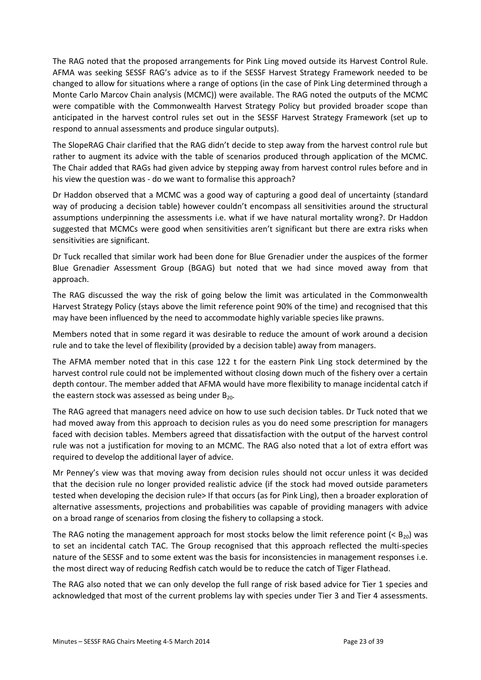The RAG noted that the proposed arrangements for Pink Ling moved outside its Harvest Control Rule. AFMA was seeking SESSF RAG's advice as to if the SESSF Harvest Strategy Framework needed to be changed to allow for situations where a range of options (in the case of Pink Ling determined through a Monte Carlo Marcov Chain analysis (MCMC)) were available. The RAG noted the outputs of the MCMC were compatible with the Commonwealth Harvest Strategy Policy but provided broader scope than anticipated in the harvest control rules set out in the SESSF Harvest Strategy Framework (set up to respond to annual assessments and produce singular outputs).

The SlopeRAG Chair clarified that the RAG didn't decide to step away from the harvest control rule but rather to augment its advice with the table of scenarios produced through application of the MCMC. The Chair added that RAGs had given advice by stepping away from harvest control rules before and in his view the question was - do we want to formalise this approach?

Dr Haddon observed that a MCMC was a good way of capturing a good deal of uncertainty (standard way of producing a decision table) however couldn't encompass all sensitivities around the structural assumptions underpinning the assessments i.e. what if we have natural mortality wrong?. Dr Haddon suggested that MCMCs were good when sensitivities aren't significant but there are extra risks when sensitivities are significant.

Dr Tuck recalled that similar work had been done for Blue Grenadier under the auspices of the former Blue Grenadier Assessment Group (BGAG) but noted that we had since moved away from that approach.

The RAG discussed the way the risk of going below the limit was articulated in the Commonwealth Harvest Strategy Policy (stays above the limit reference point 90% of the time) and recognised that this may have been influenced by the need to accommodate highly variable species like prawns.

Members noted that in some regard it was desirable to reduce the amount of work around a decision rule and to take the level of flexibility (provided by a decision table) away from managers.

The AFMA member noted that in this case 122 t for the eastern Pink Ling stock determined by the harvest control rule could not be implemented without closing down much of the fishery over a certain depth contour. The member added that AFMA would have more flexibility to manage incidental catch if the eastern stock was assessed as being under  $B_{20}$ .

The RAG agreed that managers need advice on how to use such decision tables. Dr Tuck noted that we had moved away from this approach to decision rules as you do need some prescription for managers faced with decision tables. Members agreed that dissatisfaction with the output of the harvest control rule was not a justification for moving to an MCMC. The RAG also noted that a lot of extra effort was required to develop the additional layer of advice.

Mr Penney's view was that moving away from decision rules should not occur unless it was decided that the decision rule no longer provided realistic advice (if the stock had moved outside parameters tested when developing the decision rule> If that occurs (as for Pink Ling), then a broader exploration of alternative assessments, projections and probabilities was capable of providing managers with advice on a broad range of scenarios from closing the fishery to collapsing a stock.

The RAG noting the management approach for most stocks below the limit reference point  $( $B_{20}$ ) was$ to set an incidental catch TAC. The Group recognised that this approach reflected the multi-species nature of the SESSF and to some extent was the basis for inconsistencies in management responses i.e. the most direct way of reducing Redfish catch would be to reduce the catch of Tiger Flathead.

The RAG also noted that we can only develop the full range of risk based advice for Tier 1 species and acknowledged that most of the current problems lay with species under Tier 3 and Tier 4 assessments.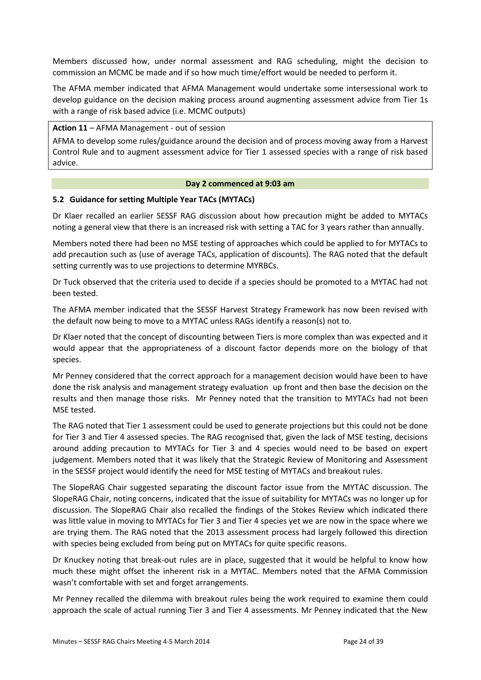Members discussed how, under normal assessment and RAG scheduling, might the decision to commission an MCMC be made and if so how much time/effort would be needed to perform it.

The AFMA member indicated that AFMA Management would undertake some intersessional work to develop guidance on the decision making process around augmenting assessment advice from Tier 1s with a range of risk based advice (i.e. MCMC outputs)

#### **Action 11** – AFMA Management - out of session

AFMA to develop some rules/guidance around the decision and of process moving away from a Harvest Control Rule and to augment assessment advice for Tier 1 assessed species with a range of risk based advice.

#### **Day 2 commenced at 9:03 am**

#### **5.2 Guidance for setting Multiple Year TACs (MYTACs)**

Dr Klaer recalled an earlier SESSF RAG discussion about how precaution might be added to MYTACs noting a general view that there is an increased risk with setting a TAC for 3 years rather than annually.

Members noted there had been no MSE testing of approaches which could be applied to for MYTACs to add precaution such as (use of average TACs, application of discounts). The RAG noted that the default setting currently was to use projections to determine MYRBCs.

Dr Tuck observed that the criteria used to decide if a species should be promoted to a MYTAC had not been tested.

The AFMA member indicated that the SESSF Harvest Strategy Framework has now been revised with the default now being to move to a MYTAC unless RAGs identify a reason(s) not to.

Dr Klaer noted that the concept of discounting between Tiers is more complex than was expected and it would appear that the appropriateness of a discount factor depends more on the biology of that species.

Mr Penney considered that the correct approach for a management decision would have been to have done the risk analysis and management strategy evaluation up front and then base the decision on the results and then manage those risks. Mr Penney noted that the transition to MYTACs had not been MSE tested.

The RAG noted that Tier 1 assessment could be used to generate projections but this could not be done for Tier 3 and Tier 4 assessed species. The RAG recognised that, given the lack of MSE testing, decisions around adding precaution to MYTACs for Tier 3 and 4 species would need to be based on expert judgement. Members noted that it was likely that the Strategic Review of Monitoring and Assessment in the SESSF project would identify the need for MSE testing of MYTACs and breakout rules.

The SlopeRAG Chair suggested separating the discount factor issue from the MYTAC discussion. The SlopeRAG Chair, noting concerns, indicated that the issue of suitability for MYTACs was no longer up for discussion. The SlopeRAG Chair also recalled the findings of the Stokes Review which indicated there was little value in moving to MYTACs for Tier 3 and Tier 4 species yet we are now in the space where we are trying them. The RAG noted that the 2013 assessment process had largely followed this direction with species being excluded from being put on MYTACs for quite specific reasons.

Dr Knuckey noting that break-out rules are in place, suggested that it would be helpful to know how much these might offset the inherent risk in a MYTAC. Members noted that the AFMA Commission wasn't comfortable with set and forget arrangements.

Mr Penney recalled the dilemma with breakout rules being the work required to examine them could approach the scale of actual running Tier 3 and Tier 4 assessments. Mr Penney indicated that the New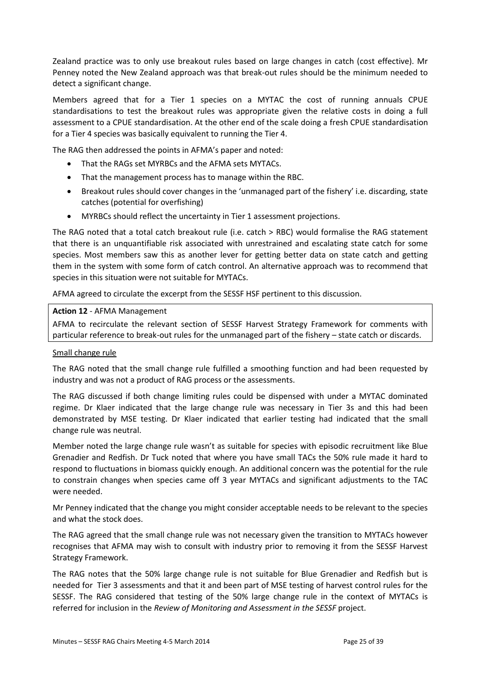Zealand practice was to only use breakout rules based on large changes in catch (cost effective). Mr Penney noted the New Zealand approach was that break-out rules should be the minimum needed to detect a significant change.

Members agreed that for a Tier 1 species on a MYTAC the cost of running annuals CPUE standardisations to test the breakout rules was appropriate given the relative costs in doing a full assessment to a CPUE standardisation. At the other end of the scale doing a fresh CPUE standardisation for a Tier 4 species was basically equivalent to running the Tier 4.

The RAG then addressed the points in AFMA's paper and noted:

- That the RAGs set MYRBCs and the AFMA sets MYTACs.
- That the management process has to manage within the RBC.
- Breakout rules should cover changes in the 'unmanaged part of the fishery' i.e. discarding, state catches (potential for overfishing)
- MYRBCs should reflect the uncertainty in Tier 1 assessment projections.

The RAG noted that a total catch breakout rule (i.e. catch > RBC) would formalise the RAG statement that there is an unquantifiable risk associated with unrestrained and escalating state catch for some species. Most members saw this as another lever for getting better data on state catch and getting them in the system with some form of catch control. An alternative approach was to recommend that species in this situation were not suitable for MYTACs.

AFMA agreed to circulate the excerpt from the SESSF HSF pertinent to this discussion.

#### **Action 12** - AFMA Management

AFMA to recirculate the relevant section of SESSF Harvest Strategy Framework for comments with particular reference to break-out rules for the unmanaged part of the fishery – state catch or discards.

#### Small change rule

The RAG noted that the small change rule fulfilled a smoothing function and had been requested by industry and was not a product of RAG process or the assessments.

The RAG discussed if both change limiting rules could be dispensed with under a MYTAC dominated regime. Dr Klaer indicated that the large change rule was necessary in Tier 3s and this had been demonstrated by MSE testing. Dr Klaer indicated that earlier testing had indicated that the small change rule was neutral.

Member noted the large change rule wasn't as suitable for species with episodic recruitment like Blue Grenadier and Redfish. Dr Tuck noted that where you have small TACs the 50% rule made it hard to respond to fluctuations in biomass quickly enough. An additional concern was the potential for the rule to constrain changes when species came off 3 year MYTACs and significant adjustments to the TAC were needed.

Mr Penney indicated that the change you might consider acceptable needs to be relevant to the species and what the stock does.

The RAG agreed that the small change rule was not necessary given the transition to MYTACs however recognises that AFMA may wish to consult with industry prior to removing it from the SESSF Harvest Strategy Framework.

The RAG notes that the 50% large change rule is not suitable for Blue Grenadier and Redfish but is needed for Tier 3 assessments and that it and been part of MSE testing of harvest control rules for the SESSF. The RAG considered that testing of the 50% large change rule in the context of MYTACs is referred for inclusion in the *Review of Monitoring and Assessment in the SESSF* project.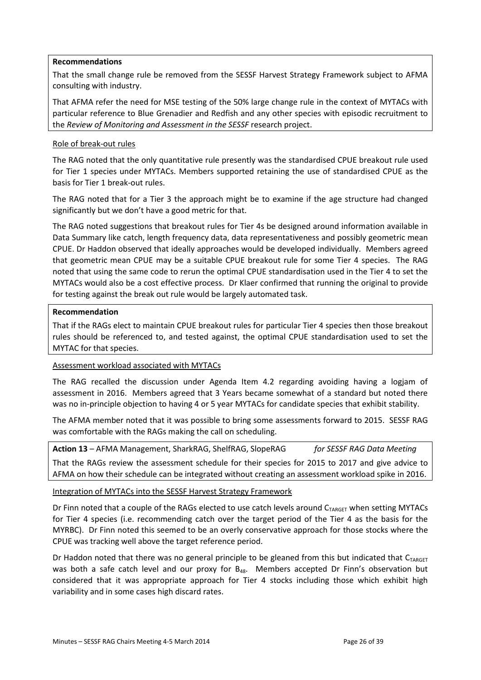#### **Recommendations**

That the small change rule be removed from the SESSF Harvest Strategy Framework subject to AFMA consulting with industry.

That AFMA refer the need for MSE testing of the 50% large change rule in the context of MYTACs with particular reference to Blue Grenadier and Redfish and any other species with episodic recruitment to the *Review of Monitoring and Assessment in the SESSF* research project.

#### Role of break-out rules

The RAG noted that the only quantitative rule presently was the standardised CPUE breakout rule used for Tier 1 species under MYTACs. Members supported retaining the use of standardised CPUE as the basis for Tier 1 break-out rules.

The RAG noted that for a Tier 3 the approach might be to examine if the age structure had changed significantly but we don't have a good metric for that.

The RAG noted suggestions that breakout rules for Tier 4s be designed around information available in Data Summary like catch, length frequency data, data representativeness and possibly geometric mean CPUE. Dr Haddon observed that ideally approaches would be developed individually. Members agreed that geometric mean CPUE may be a suitable CPUE breakout rule for some Tier 4 species. The RAG noted that using the same code to rerun the optimal CPUE standardisation used in the Tier 4 to set the MYTACs would also be a cost effective process. Dr Klaer confirmed that running the original to provide for testing against the break out rule would be largely automated task.

#### **Recommendation**

That if the RAGs elect to maintain CPUE breakout rules for particular Tier 4 species then those breakout rules should be referenced to, and tested against, the optimal CPUE standardisation used to set the MYTAC for that species.

#### Assessment workload associated with MYTACs

The RAG recalled the discussion under Agenda Item 4.2 regarding avoiding having a logjam of assessment in 2016. Members agreed that 3 Years became somewhat of a standard but noted there was no in-principle objection to having 4 or 5 year MYTACs for candidate species that exhibit stability.

The AFMA member noted that it was possible to bring some assessments forward to 2015. SESSF RAG was comfortable with the RAGs making the call on scheduling.

**Action 13** – AFMA Management, SharkRAG, ShelfRAG, SlopeRAG *for SESSF RAG Data Meeting* That the RAGs review the assessment schedule for their species for 2015 to 2017 and give advice to AFMA on how their schedule can be integrated without creating an assessment workload spike in 2016.

#### Integration of MYTACs into the SESSF Harvest Strategy Framework

Dr Finn noted that a couple of the RAGs elected to use catch levels around CTARGET when setting MYTACs for Tier 4 species (i.e. recommending catch over the target period of the Tier 4 as the basis for the MYRBC). Dr Finn noted this seemed to be an overly conservative approach for those stocks where the CPUE was tracking well above the target reference period.

Dr Haddon noted that there was no general principle to be gleaned from this but indicated that  $C_{TARGET}$ was both a safe catch level and our proxy for B<sub>48</sub>. Members accepted Dr Finn's observation but considered that it was appropriate approach for Tier 4 stocks including those which exhibit high variability and in some cases high discard rates.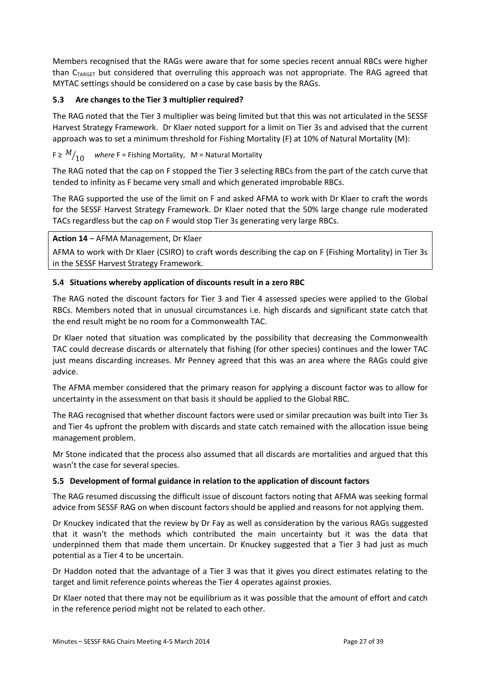Members recognised that the RAGs were aware that for some species recent annual RBCs were higher than  $C_{TARGET}$  but considered that overruling this approach was not appropriate. The RAG agreed that MYTAC settings should be considered on a case by case basis by the RAGs.

#### **5.3 Are changes to the Tier 3 multiplier required?**

The RAG noted that the Tier 3 multiplier was being limited but that this was not articulated in the SESSF Harvest Strategy Framework. Dr Klaer noted support for a limit on Tier 3s and advised that the current approach was to set a minimum threshold for Fishing Mortality (F) at 10% of Natural Mortality (M):

#### $F \geq M/10$ ⁄ *where* F = Fishing Mortality, M = Natural Mortality

The RAG noted that the cap on F stopped the Tier 3 selecting RBCs from the part of the catch curve that tended to infinity as F became very small and which generated improbable RBCs.

The RAG supported the use of the limit on F and asked AFMA to work with Dr Klaer to craft the words for the SESSF Harvest Strategy Framework. Dr Klaer noted that the 50% large change rule moderated TACs regardless but the cap on F would stop Tier 3s generating very large RBCs.

#### **Action 14** – AFMA Management, Dr Klaer

AFMA to work with Dr Klaer (CSIRO) to craft words describing the cap on F (Fishing Mortality) in Tier 3s in the SESSF Harvest Strategy Framework.

#### **5.4 Situations whereby application of discounts result in a zero RBC**

The RAG noted the discount factors for Tier 3 and Tier 4 assessed species were applied to the Global RBCs. Members noted that in unusual circumstances i.e. high discards and significant state catch that the end result might be no room for a Commonwealth TAC.

Dr Klaer noted that situation was complicated by the possibility that decreasing the Commonwealth TAC could decrease discards or alternately that fishing (for other species) continues and the lower TAC just means discarding increases. Mr Penney agreed that this was an area where the RAGs could give advice.

The AFMA member considered that the primary reason for applying a discount factor was to allow for uncertainty in the assessment on that basis it should be applied to the Global RBC.

The RAG recognised that whether discount factors were used or similar precaution was built into Tier 3s and Tier 4s upfront the problem with discards and state catch remained with the allocation issue being management problem.

Mr Stone indicated that the process also assumed that all discards are mortalities and argued that this wasn't the case for several species.

#### **5.5 Development of formal guidance in relation to the application of discount factors**

The RAG resumed discussing the difficult issue of discount factors noting that AFMA was seeking formal advice from SESSF RAG on when discount factors should be applied and reasons for not applying them.

Dr Knuckey indicated that the review by Dr Fay as well as consideration by the various RAGs suggested that it wasn't the methods which contributed the main uncertainty but it was the data that underpinned them that made them uncertain. Dr Knuckey suggested that a Tier 3 had just as much potential as a Tier 4 to be uncertain.

Dr Haddon noted that the advantage of a Tier 3 was that it gives you direct estimates relating to the target and limit reference points whereas the Tier 4 operates against proxies.

Dr Klaer noted that there may not be equilibrium as it was possible that the amount of effort and catch in the reference period might not be related to each other.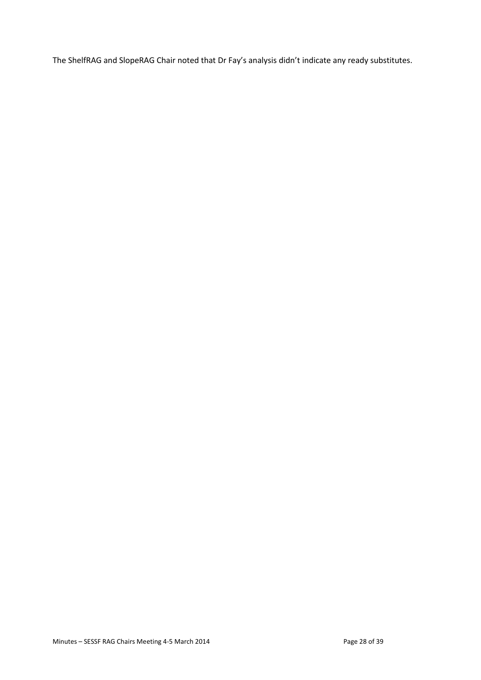The ShelfRAG and SlopeRAG Chair noted that Dr Fay's analysis didn't indicate any ready substitutes.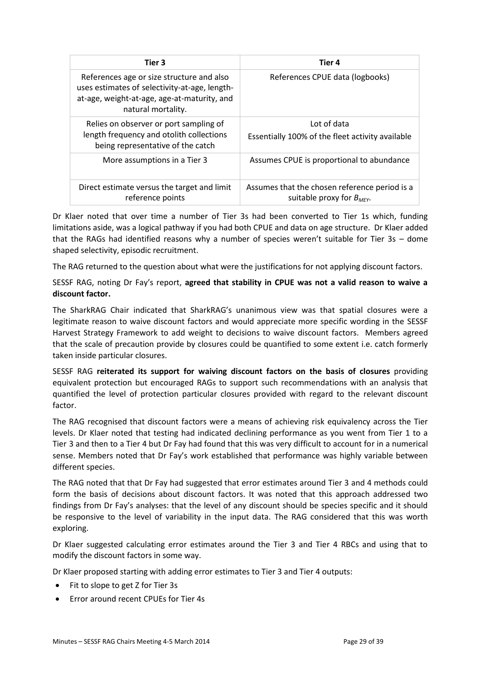| Tier 3                                                                                                                                                          | Tier 4                                                                          |
|-----------------------------------------------------------------------------------------------------------------------------------------------------------------|---------------------------------------------------------------------------------|
| References age or size structure and also<br>uses estimates of selectivity-at-age, length-<br>at-age, weight-at-age, age-at-maturity, and<br>natural mortality. | References CPUE data (logbooks)                                                 |
| Relies on observer or port sampling of<br>length frequency and otolith collections<br>being representative of the catch                                         | Lot of data<br>Essentially 100% of the fleet activity available                 |
| More assumptions in a Tier 3                                                                                                                                    | Assumes CPUE is proportional to abundance                                       |
| Direct estimate versus the target and limit<br>reference points                                                                                                 | Assumes that the chosen reference period is a<br>suitable proxy for $B_{MFY}$ . |

Dr Klaer noted that over time a number of Tier 3s had been converted to Tier 1s which, funding limitations aside, was a logical pathway if you had both CPUE and data on age structure. Dr Klaer added that the RAGs had identified reasons why a number of species weren't suitable for Tier 3s – dome shaped selectivity, episodic recruitment.

The RAG returned to the question about what were the justifications for not applying discount factors.

SESSF RAG, noting Dr Fay's report, **agreed that stability in CPUE was not a valid reason to waive a discount factor.**

The SharkRAG Chair indicated that SharkRAG's unanimous view was that spatial closures were a legitimate reason to waive discount factors and would appreciate more specific wording in the SESSF Harvest Strategy Framework to add weight to decisions to waive discount factors. Members agreed that the scale of precaution provide by closures could be quantified to some extent i.e. catch formerly taken inside particular closures.

SESSF RAG **reiterated its support for waiving discount factors on the basis of closures** providing equivalent protection but encouraged RAGs to support such recommendations with an analysis that quantified the level of protection particular closures provided with regard to the relevant discount factor.

The RAG recognised that discount factors were a means of achieving risk equivalency across the Tier levels. Dr Klaer noted that testing had indicated declining performance as you went from Tier 1 to a Tier 3 and then to a Tier 4 but Dr Fay had found that this was very difficult to account for in a numerical sense. Members noted that Dr Fay's work established that performance was highly variable between different species.

The RAG noted that that Dr Fay had suggested that error estimates around Tier 3 and 4 methods could form the basis of decisions about discount factors. It was noted that this approach addressed two findings from Dr Fay's analyses: that the level of any discount should be species specific and it should be responsive to the level of variability in the input data. The RAG considered that this was worth exploring.

Dr Klaer suggested calculating error estimates around the Tier 3 and Tier 4 RBCs and using that to modify the discount factors in some way.

Dr Klaer proposed starting with adding error estimates to Tier 3 and Tier 4 outputs:

- Fit to slope to get Z for Tier 3s
- Error around recent CPUEs for Tier 4s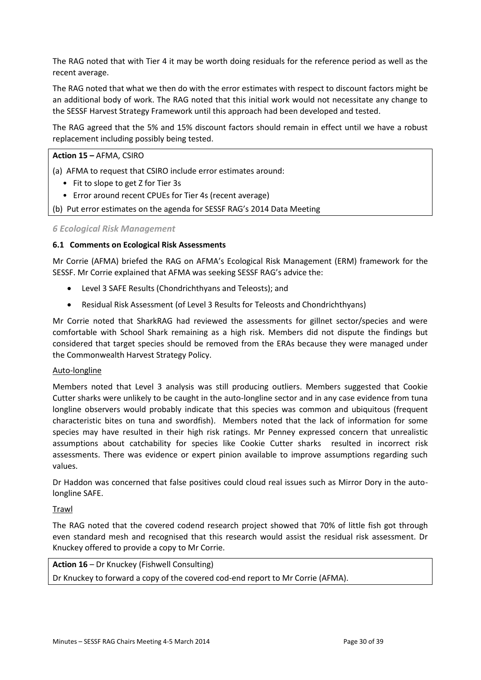The RAG noted that with Tier 4 it may be worth doing residuals for the reference period as well as the recent average.

The RAG noted that what we then do with the error estimates with respect to discount factors might be an additional body of work. The RAG noted that this initial work would not necessitate any change to the SESSF Harvest Strategy Framework until this approach had been developed and tested.

The RAG agreed that the 5% and 15% discount factors should remain in effect until we have a robust replacement including possibly being tested.

#### **Action 15 –** AFMA, CSIRO

(a) AFMA to request that CSIRO include error estimates around:

- Fit to slope to get Z for Tier 3s
- Error around recent CPUEs for Tier 4s (recent average)
- (b) Put error estimates on the agenda for SESSF RAG's 2014 Data Meeting

#### *6 Ecological Risk Management*

#### **6.1 Comments on Ecological Risk Assessments**

Mr Corrie (AFMA) briefed the RAG on AFMA's Ecological Risk Management (ERM) framework for the SESSF. Mr Corrie explained that AFMA was seeking SESSF RAG's advice the:

- Level 3 SAFE Results (Chondrichthyans and Teleosts); and
- Residual Risk Assessment (of Level 3 Results for Teleosts and Chondrichthyans)

Mr Corrie noted that SharkRAG had reviewed the assessments for gillnet sector/species and were comfortable with School Shark remaining as a high risk. Members did not dispute the findings but considered that target species should be removed from the ERAs because they were managed under the Commonwealth Harvest Strategy Policy.

#### Auto-longline

Members noted that Level 3 analysis was still producing outliers. Members suggested that Cookie Cutter sharks were unlikely to be caught in the auto-longline sector and in any case evidence from tuna longline observers would probably indicate that this species was common and ubiquitous (frequent characteristic bites on tuna and swordfish). Members noted that the lack of information for some species may have resulted in their high risk ratings. Mr Penney expressed concern that unrealistic assumptions about catchability for species like Cookie Cutter sharks resulted in incorrect risk assessments. There was evidence or expert pinion available to improve assumptions regarding such values.

Dr Haddon was concerned that false positives could cloud real issues such as Mirror Dory in the autolongline SAFE.

#### **Trawl**

The RAG noted that the covered codend research project showed that 70% of little fish got through even standard mesh and recognised that this research would assist the residual risk assessment. Dr Knuckey offered to provide a copy to Mr Corrie.

#### **Action 16** – Dr Knuckey (Fishwell Consulting)

Dr Knuckey to forward a copy of the covered cod-end report to Mr Corrie (AFMA).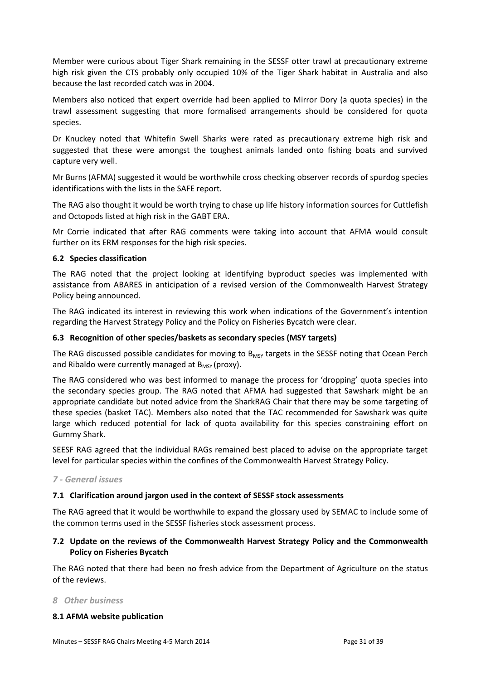Member were curious about Tiger Shark remaining in the SESSF otter trawl at precautionary extreme high risk given the CTS probably only occupied 10% of the Tiger Shark habitat in Australia and also because the last recorded catch was in 2004.

Members also noticed that expert override had been applied to Mirror Dory (a quota species) in the trawl assessment suggesting that more formalised arrangements should be considered for quota species.

Dr Knuckey noted that Whitefin Swell Sharks were rated as precautionary extreme high risk and suggested that these were amongst the toughest animals landed onto fishing boats and survived capture very well.

Mr Burns (AFMA) suggested it would be worthwhile cross checking observer records of spurdog species identifications with the lists in the SAFE report.

The RAG also thought it would be worth trying to chase up life history information sources for Cuttlefish and Octopods listed at high risk in the GABT ERA.

Mr Corrie indicated that after RAG comments were taking into account that AFMA would consult further on its ERM responses for the high risk species.

#### **6.2 Species classification**

The RAG noted that the project looking at identifying byproduct species was implemented with assistance from ABARES in anticipation of a revised version of the Commonwealth Harvest Strategy Policy being announced.

The RAG indicated its interest in reviewing this work when indications of the Government's intention regarding the Harvest Strategy Policy and the Policy on Fisheries Bycatch were clear.

#### **6.3 Recognition of other species/baskets as secondary species (MSY targets)**

The RAG discussed possible candidates for moving to  $B_{MSY}$  targets in the SESSF noting that Ocean Perch and Ribaldo were currently managed at  $B_{MSY}$  (proxy).

The RAG considered who was best informed to manage the process for 'dropping' quota species into the secondary species group. The RAG noted that AFMA had suggested that Sawshark might be an appropriate candidate but noted advice from the SharkRAG Chair that there may be some targeting of these species (basket TAC). Members also noted that the TAC recommended for Sawshark was quite large which reduced potential for lack of quota availability for this species constraining effort on Gummy Shark.

SEESF RAG agreed that the individual RAGs remained best placed to advise on the appropriate target level for particular species within the confines of the Commonwealth Harvest Strategy Policy.

#### *7 - General issues*

#### **7.1 Clarification around jargon used in the context of SESSF stock assessments**

The RAG agreed that it would be worthwhile to expand the glossary used by SEMAC to include some of the common terms used in the SESSF fisheries stock assessment process.

#### **7.2 Update on the reviews of the Commonwealth Harvest Strategy Policy and the Commonwealth Policy on Fisheries Bycatch**

The RAG noted that there had been no fresh advice from the Department of Agriculture on the status of the reviews.

#### *8 Other business*

#### **8.1 AFMA website publication**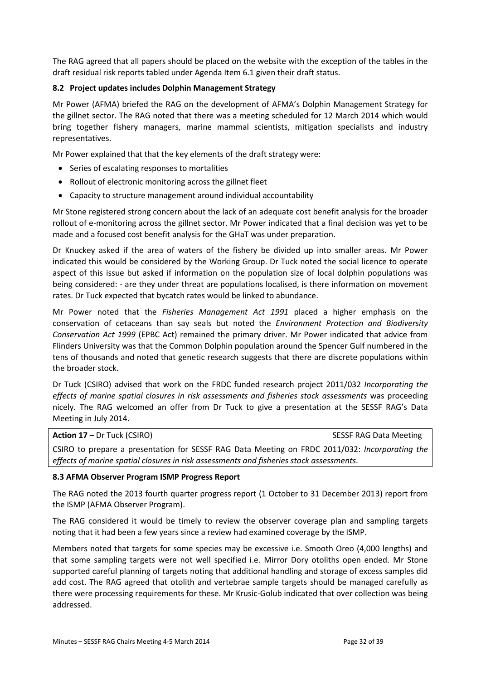The RAG agreed that all papers should be placed on the website with the exception of the tables in the draft residual risk reports tabled under Agenda Item 6.1 given their draft status.

#### **8.2 Project updates includes Dolphin Management Strategy**

Mr Power (AFMA) briefed the RAG on the development of AFMA's Dolphin Management Strategy for the gillnet sector. The RAG noted that there was a meeting scheduled for 12 March 2014 which would bring together fishery managers, marine mammal scientists, mitigation specialists and industry representatives.

Mr Power explained that that the key elements of the draft strategy were:

- Series of escalating responses to mortalities
- Rollout of electronic monitoring across the gillnet fleet
- Capacity to structure management around individual accountability

Mr Stone registered strong concern about the lack of an adequate cost benefit analysis for the broader rollout of e-monitoring across the gillnet sector. Mr Power indicated that a final decision was yet to be made and a focused cost benefit analysis for the GHaT was under preparation.

Dr Knuckey asked if the area of waters of the fishery be divided up into smaller areas. Mr Power indicated this would be considered by the Working Group. Dr Tuck noted the social licence to operate aspect of this issue but asked if information on the population size of local dolphin populations was being considered: - are they under threat are populations localised, is there information on movement rates. Dr Tuck expected that bycatch rates would be linked to abundance.

Mr Power noted that the *Fisheries Management Act 1991* placed a higher emphasis on the conservation of cetaceans than say seals but noted the *Environment Protection and Biodiversity Conservation Act 1999* (EPBC Act) remained the primary driver. Mr Power indicated that advice from Flinders University was that the Common Dolphin population around the Spencer Gulf numbered in the tens of thousands and noted that genetic research suggests that there are discrete populations within the broader stock.

Dr Tuck (CSIRO) advised that work on the FRDC funded research project 2011/032 *Incorporating the effects of marine spatial closures in risk assessments and fisheries stock assessments* was proceeding nicely. The RAG welcomed an offer from Dr Tuck to give a presentation at the SESSF RAG's Data Meeting in July 2014.

**Action 17** – Dr Tuck (CSIRO) SESSF RAG Data Meeting CSIRO to prepare a presentation for SESSF RAG Data Meeting on FRDC 2011/032: *Incorporating the effects of marine spatial closures in risk assessments and fisheries stock assessments.*

#### **8.3 AFMA Observer Program ISMP Progress Report**

The RAG noted the 2013 fourth quarter progress report (1 October to 31 December 2013) report from the ISMP (AFMA Observer Program).

The RAG considered it would be timely to review the observer coverage plan and sampling targets noting that it had been a few years since a review had examined coverage by the ISMP.

Members noted that targets for some species may be excessive i.e. Smooth Oreo (4,000 lengths) and that some sampling targets were not well specified i.e. Mirror Dory otoliths open ended. Mr Stone supported careful planning of targets noting that additional handling and storage of excess samples did add cost. The RAG agreed that otolith and vertebrae sample targets should be managed carefully as there were processing requirements for these. Mr Krusic-Golub indicated that over collection was being addressed.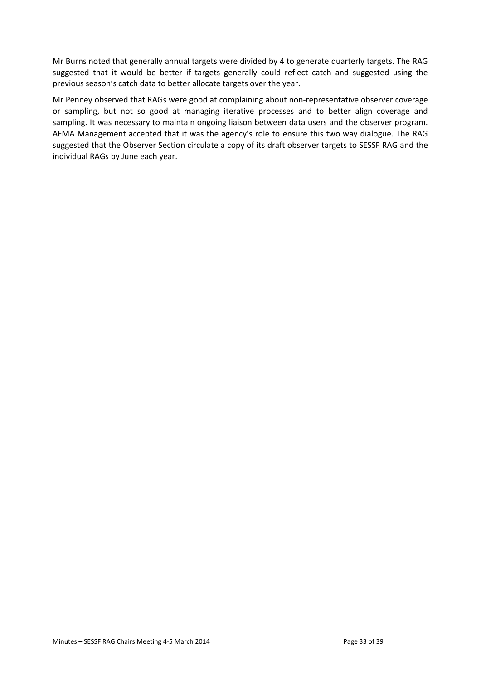Mr Burns noted that generally annual targets were divided by 4 to generate quarterly targets. The RAG suggested that it would be better if targets generally could reflect catch and suggested using the previous season's catch data to better allocate targets over the year.

Mr Penney observed that RAGs were good at complaining about non-representative observer coverage or sampling, but not so good at managing iterative processes and to better align coverage and sampling. It was necessary to maintain ongoing liaison between data users and the observer program. AFMA Management accepted that it was the agency's role to ensure this two way dialogue. The RAG suggested that the Observer Section circulate a copy of its draft observer targets to SESSF RAG and the individual RAGs by June each year.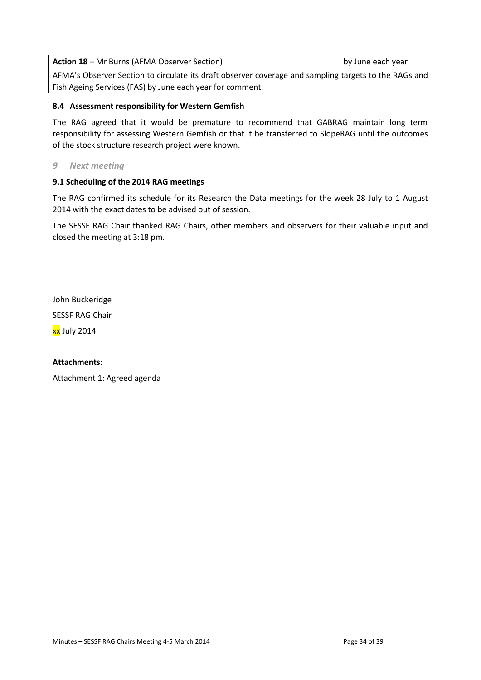**Action 18** – Mr Burns (AFMA Observer Section) by June each year

AFMA's Observer Section to circulate its draft observer coverage and sampling targets to the RAGs and Fish Ageing Services (FAS) by June each year for comment.

#### **8.4 Assessment responsibility for Western Gemfish**

The RAG agreed that it would be premature to recommend that GABRAG maintain long term responsibility for assessing Western Gemfish or that it be transferred to SlopeRAG until the outcomes of the stock structure research project were known.

#### *9 Next meeting*

#### **9.1 Scheduling of the 2014 RAG meetings**

The RAG confirmed its schedule for its Research the Data meetings for the week 28 July to 1 August 2014 with the exact dates to be advised out of session.

The SESSF RAG Chair thanked RAG Chairs, other members and observers for their valuable input and closed the meeting at 3:18 pm.

John Buckeridge

SESSF RAG Chair

xx July 2014

#### **Attachments:**

Attachment 1: Agreed agenda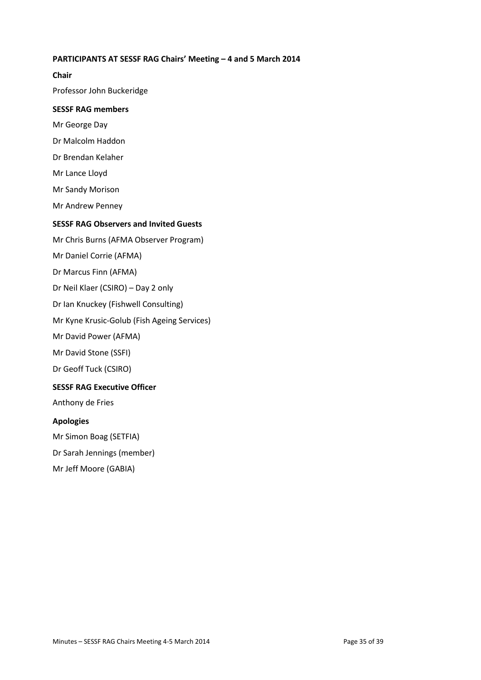#### **PARTICIPANTS AT SESSF RAG Chairs' Meeting – 4 and 5 March 2014**

**Chair** Professor John Buckeridge **SESSF RAG members** Mr George Day Dr Malcolm Haddon Dr Brendan Kelaher Mr Lance Lloyd Mr Sandy Morison Mr Andrew Penney **SESSF RAG Observers and Invited Guests** Mr Chris Burns (AFMA Observer Program) Mr Daniel Corrie (AFMA) Dr Marcus Finn (AFMA) Dr Neil Klaer (CSIRO) – Day 2 only Dr Ian Knuckey (Fishwell Consulting) Mr Kyne Krusic-Golub (Fish Ageing Services) Mr David Power (AFMA) Mr David Stone (SSFI) Dr Geoff Tuck (CSIRO)

#### **SESSF RAG Executive Officer**

Anthony de Fries

#### **Apologies**

Mr Simon Boag (SETFIA) Dr Sarah Jennings (member) Mr Jeff Moore (GABIA)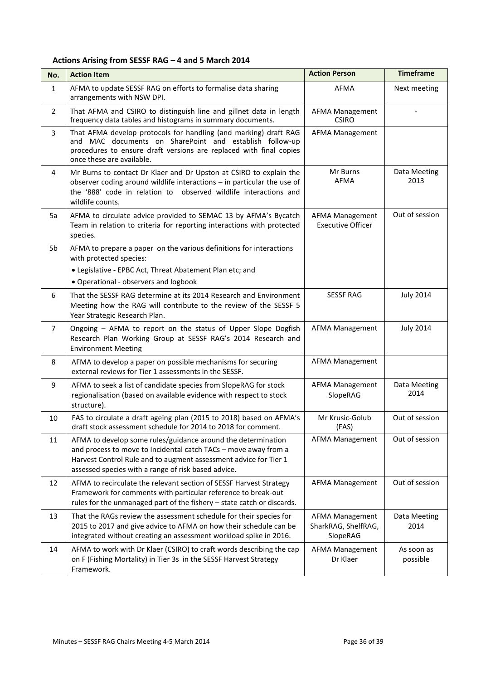#### **Actions Arising from SESSF RAG – 4 and 5 March 2014**

| No.            | <b>Action Item</b>                                                                                                                                                                                                                                         | <b>Action Person</b>                                      | <b>Timeframe</b>       |
|----------------|------------------------------------------------------------------------------------------------------------------------------------------------------------------------------------------------------------------------------------------------------------|-----------------------------------------------------------|------------------------|
| $\mathbf{1}$   | AFMA to update SESSF RAG on efforts to formalise data sharing<br>arrangements with NSW DPI.                                                                                                                                                                | AFMA                                                      | Next meeting           |
| $\overline{2}$ | That AFMA and CSIRO to distinguish line and gillnet data in length<br>frequency data tables and histograms in summary documents.                                                                                                                           | <b>AFMA Management</b><br><b>CSIRO</b>                    |                        |
| 3              | That AFMA develop protocols for handling (and marking) draft RAG<br>and MAC documents on SharePoint and establish follow-up<br>procedures to ensure draft versions are replaced with final copies<br>once these are available.                             | <b>AFMA Management</b>                                    |                        |
| $\overline{4}$ | Mr Burns to contact Dr Klaer and Dr Upston at CSIRO to explain the<br>observer coding around wildlife interactions - in particular the use of<br>the '888' code in relation to observed wildlife interactions and<br>wildlife counts.                      | Mr Burns<br>AFMA                                          | Data Meeting<br>2013   |
| 5a             | AFMA to circulate advice provided to SEMAC 13 by AFMA's Bycatch<br>Team in relation to criteria for reporting interactions with protected<br>species.                                                                                                      | <b>AFMA Management</b><br><b>Executive Officer</b>        | Out of session         |
| 5b             | AFMA to prepare a paper on the various definitions for interactions<br>with protected species:                                                                                                                                                             |                                                           |                        |
|                | • Legislative - EPBC Act, Threat Abatement Plan etc; and<br>• Operational - observers and logbook                                                                                                                                                          |                                                           |                        |
| 6              | That the SESSF RAG determine at its 2014 Research and Environment<br>Meeting how the RAG will contribute to the review of the SESSF 5<br>Year Strategic Research Plan.                                                                                     | <b>SESSF RAG</b>                                          | <b>July 2014</b>       |
| $\overline{7}$ | Ongoing - AFMA to report on the status of Upper Slope Dogfish<br>Research Plan Working Group at SESSF RAG's 2014 Research and<br><b>Environment Meeting</b>                                                                                                | <b>AFMA Management</b>                                    | <b>July 2014</b>       |
| 8              | AFMA to develop a paper on possible mechanisms for securing<br>external reviews for Tier 1 assessments in the SESSF.                                                                                                                                       | <b>AFMA Management</b>                                    |                        |
| 9              | AFMA to seek a list of candidate species from SlopeRAG for stock<br>regionalisation (based on available evidence with respect to stock<br>structure).                                                                                                      | <b>AFMA Management</b><br>SlopeRAG                        | Data Meeting<br>2014   |
| 10             | FAS to circulate a draft ageing plan (2015 to 2018) based on AFMA's<br>draft stock assessment schedule for 2014 to 2018 for comment.                                                                                                                       | Mr Krusic-Golub<br>(FAS)                                  | Out of session         |
| 11             | AFMA to develop some rules/guidance around the determination<br>and process to move to Incidental catch TACs - move away from a<br>Harvest Control Rule and to augment assessment advice for Tier 1<br>assessed species with a range of risk based advice. | <b>AFMA Management</b>                                    | Out of session         |
| 12             | AFMA to recirculate the relevant section of SESSF Harvest Strategy<br>Framework for comments with particular reference to break-out<br>rules for the unmanaged part of the fishery - state catch or discards.                                              | AFMA Management                                           | Out of session         |
| 13             | That the RAGs review the assessment schedule for their species for<br>2015 to 2017 and give advice to AFMA on how their schedule can be<br>integrated without creating an assessment workload spike in 2016.                                               | <b>AFMA Management</b><br>SharkRAG, ShelfRAG,<br>SlopeRAG | Data Meeting<br>2014   |
| 14             | AFMA to work with Dr Klaer (CSIRO) to craft words describing the cap<br>on F (Fishing Mortality) in Tier 3s in the SESSF Harvest Strategy<br>Framework.                                                                                                    | <b>AFMA Management</b><br>Dr Klaer                        | As soon as<br>possible |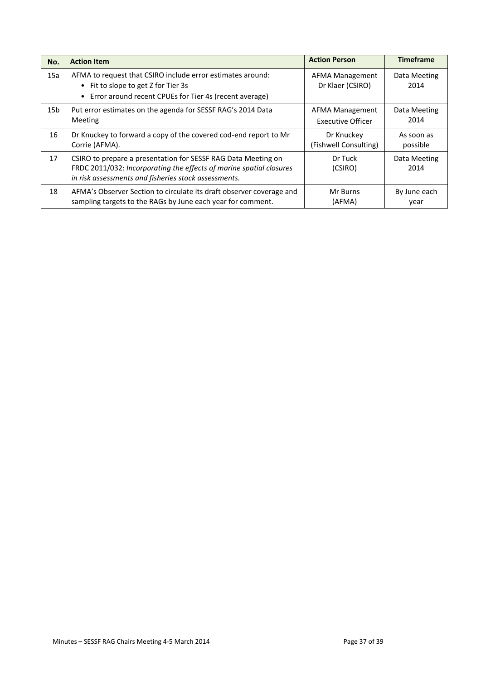| No.             | <b>Action Item</b>                                                                                                                                                                           | <b>Action Person</b>                       | <b>Timeframe</b>     |
|-----------------|----------------------------------------------------------------------------------------------------------------------------------------------------------------------------------------------|--------------------------------------------|----------------------|
| 15a             | AFMA to request that CSIRO include error estimates around:<br>• Fit to slope to get Z for Tier 3s<br>• Error around recent CPUEs for Tier 4s (recent average)                                | <b>AFMA Management</b><br>Dr Klaer (CSIRO) | Data Meeting<br>2014 |
| 15 <sub>b</sub> | Put error estimates on the agenda for SESSF RAG's 2014 Data                                                                                                                                  | AFMA Management                            | Data Meeting         |
|                 | Meeting                                                                                                                                                                                      | <b>Executive Officer</b>                   | 2014                 |
| 16              | Dr Knuckey to forward a copy of the covered cod-end report to Mr                                                                                                                             | Dr Knuckey                                 | As soon as           |
|                 | Corrie (AFMA).                                                                                                                                                                               | (Fishwell Consulting)                      | possible             |
| 17              | CSIRO to prepare a presentation for SESSF RAG Data Meeting on<br>FRDC 2011/032: Incorporating the effects of marine spatial closures<br>in risk assessments and fisheries stock assessments. | Dr Tuck<br>(CSIRO)                         | Data Meeting<br>2014 |
| 18              | AFMA's Observer Section to circulate its draft observer coverage and                                                                                                                         | Mr Burns                                   | By June each         |
|                 | sampling targets to the RAGs by June each year for comment.                                                                                                                                  | (AFMA)                                     | year                 |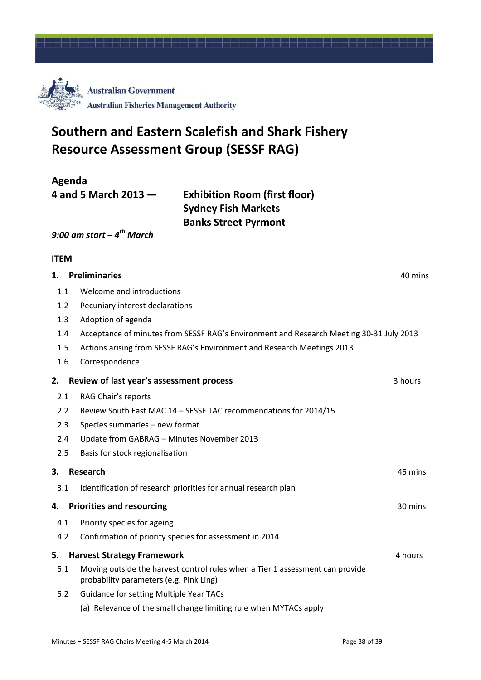

## **Southern and Eastern Scalefish and Shark Fishery Resource Assessment Group (SESSF RAG)**

**Agenda**

**4 and 5 March 2013 — Exhibition Room (first floor) Sydney Fish Markets Banks Street Pyrmont**

#### *9:00 am start – 4 th March*

#### **ITEM**

| 1.  | <b>Preliminaries</b>                                                                                                     | 40 mins |
|-----|--------------------------------------------------------------------------------------------------------------------------|---------|
| 1.1 | Welcome and introductions                                                                                                |         |
| 1.2 | Pecuniary interest declarations                                                                                          |         |
| 1.3 | Adoption of agenda                                                                                                       |         |
| 1.4 | Acceptance of minutes from SESSF RAG's Environment and Research Meeting 30-31 July 2013                                  |         |
| 1.5 | Actions arising from SESSF RAG's Environment and Research Meetings 2013                                                  |         |
| 1.6 | Correspondence                                                                                                           |         |
| 2.  | Review of last year's assessment process                                                                                 | 3 hours |
| 2.1 | RAG Chair's reports                                                                                                      |         |
| 2.2 | Review South East MAC 14 - SESSF TAC recommendations for 2014/15                                                         |         |
| 2.3 | Species summaries - new format                                                                                           |         |
| 2.4 | Update from GABRAG - Minutes November 2013                                                                               |         |
| 2.5 | Basis for stock regionalisation                                                                                          |         |
| 3.  | <b>Research</b>                                                                                                          | 45 mins |
| 3.1 | Identification of research priorities for annual research plan                                                           |         |
| 4.  | <b>Priorities and resourcing</b>                                                                                         | 30 mins |
| 4.1 | Priority species for ageing                                                                                              |         |
| 4.2 | Confirmation of priority species for assessment in 2014                                                                  |         |
| 5.  | <b>Harvest Strategy Framework</b>                                                                                        | 4 hours |
| 5.1 | Moving outside the harvest control rules when a Tier 1 assessment can provide<br>probability parameters (e.g. Pink Ling) |         |
| 5.2 | <b>Guidance for setting Multiple Year TACs</b>                                                                           |         |
|     | (a) Relevance of the small change limiting rule when MYTACs apply                                                        |         |
|     |                                                                                                                          |         |